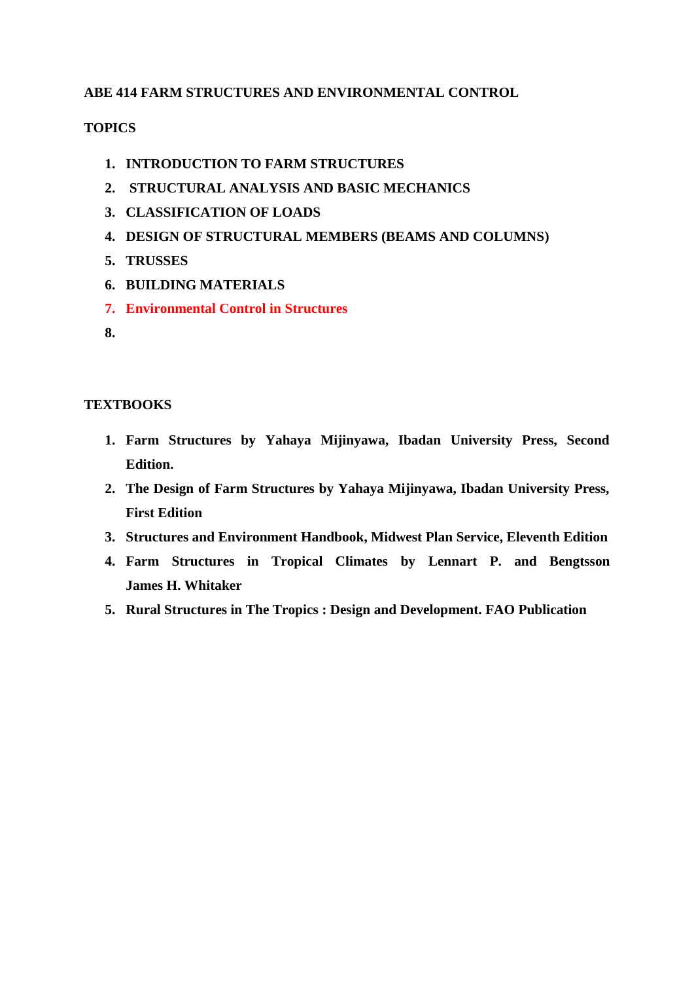# **ABE 414 FARM STRUCTURES AND ENVIRONMENTAL CONTROL**

# **TOPICS**

- **1. INTRODUCTION TO FARM STRUCTURES**
- **2. STRUCTURAL ANALYSIS AND BASIC MECHANICS**
- **3. CLASSIFICATION OF LOADS**
- **4. DESIGN OF STRUCTURAL MEMBERS (BEAMS AND COLUMNS)**
- **5. TRUSSES**
- **6. BUILDING MATERIALS**
- **7. Environmental Control in Structures**
- **8.**

# **TEXTBOOKS**

- **1. Farm Structures by Yahaya Mijinyawa, Ibadan University Press, Second Edition.**
- **2. The Design of Farm Structures by Yahaya Mijinyawa, Ibadan University Press, First Edition**
- **3. Structures and Environment Handbook, Midwest Plan Service, Eleventh Edition**
- **4. Farm Structures in Tropical Climates by Lennart P. and Bengtsson James H. Whitaker**
- **5. Rural Structures in The Tropics : Design and Development. FAO Publication**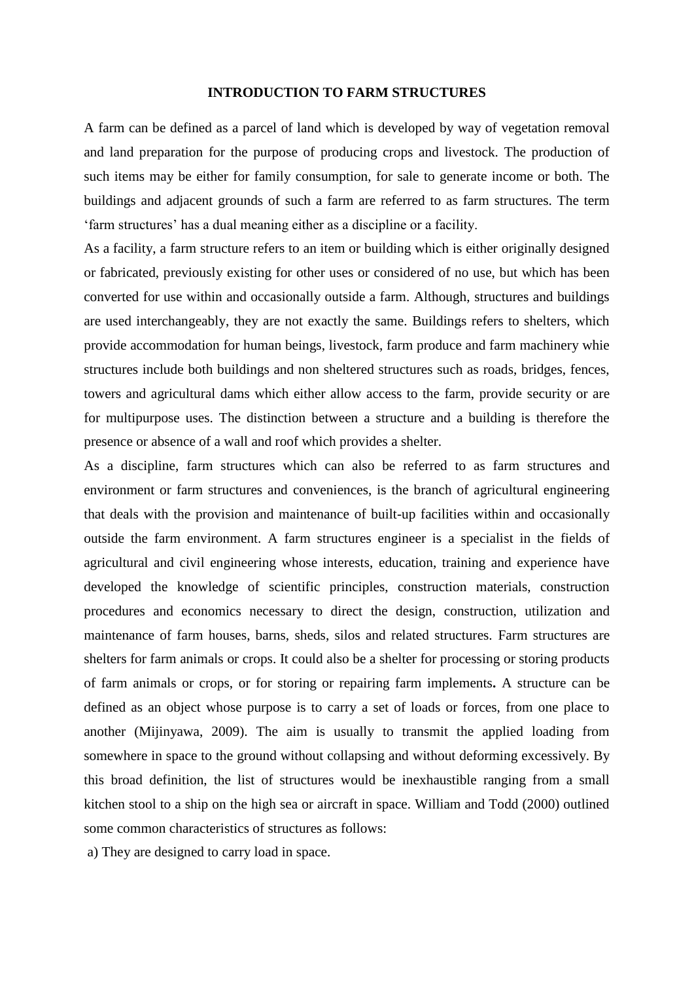#### **INTRODUCTION TO FARM STRUCTURES**

A farm can be defined as a parcel of land which is developed by way of vegetation removal and land preparation for the purpose of producing crops and livestock. The production of such items may be either for family consumption, for sale to generate income or both. The buildings and adjacent grounds of such a farm are referred to as farm structures. The term ‗farm structures' has a dual meaning either as a discipline or a facility.

As a facility, a farm structure refers to an item or building which is either originally designed or fabricated, previously existing for other uses or considered of no use, but which has been converted for use within and occasionally outside a farm. Although, structures and buildings are used interchangeably, they are not exactly the same. Buildings refers to shelters, which provide accommodation for human beings, livestock, farm produce and farm machinery whie structures include both buildings and non sheltered structures such as roads, bridges, fences, towers and agricultural dams which either allow access to the farm, provide security or are for multipurpose uses. The distinction between a structure and a building is therefore the presence or absence of a wall and roof which provides a shelter.

As a discipline, farm structures which can also be referred to as farm structures and environment or farm structures and conveniences, is the branch of agricultural engineering that deals with the provision and maintenance of built-up facilities within and occasionally outside the farm environment. A farm structures engineer is a specialist in the fields of agricultural and civil engineering whose interests, education, training and experience have developed the knowledge of scientific principles, construction materials, construction procedures and economics necessary to direct the design, construction, utilization and maintenance of farm houses, barns, sheds, silos and related structures. Farm structures are shelters for farm animals or crops. It could also be a shelter for processing or storing products of farm animals or crops, or for storing or repairing farm implements**.** A structure can be defined as an object whose purpose is to carry a set of loads or forces, from one place to another (Mijinyawa, 2009). The aim is usually to transmit the applied loading from somewhere in space to the ground without collapsing and without deforming excessively. By this broad definition, the list of structures would be inexhaustible ranging from a small kitchen stool to a ship on the high sea or aircraft in space. William and Todd (2000) outlined some common characteristics of structures as follows:

a) They are designed to carry load in space.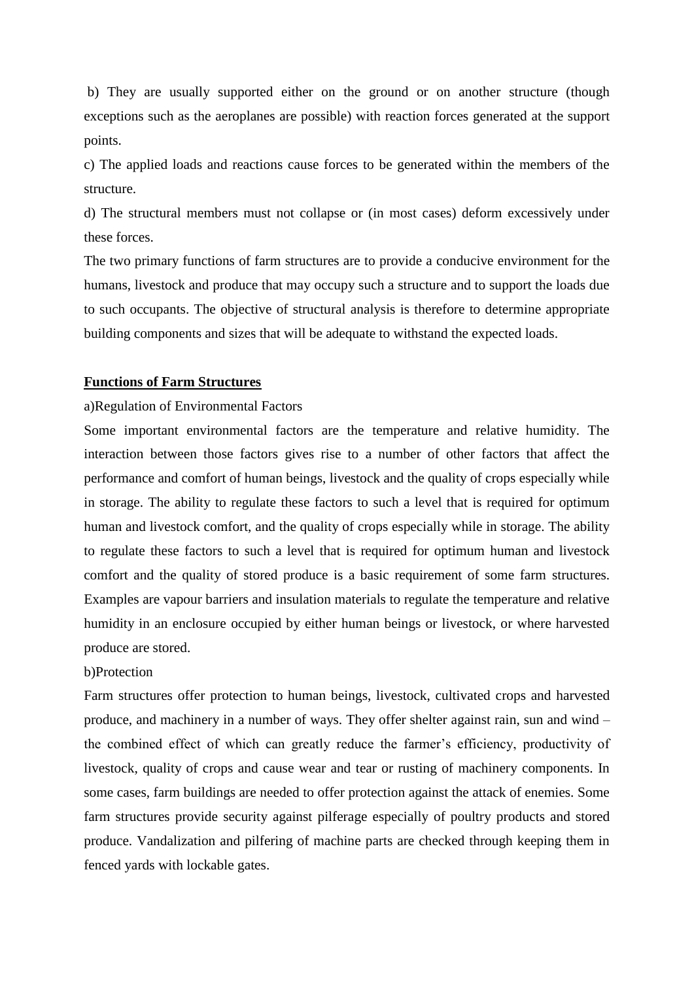b) They are usually supported either on the ground or on another structure (though exceptions such as the aeroplanes are possible) with reaction forces generated at the support points.

c) The applied loads and reactions cause forces to be generated within the members of the structure.

d) The structural members must not collapse or (in most cases) deform excessively under these forces.

The two primary functions of farm structures are to provide a conducive environment for the humans, livestock and produce that may occupy such a structure and to support the loads due to such occupants. The objective of structural analysis is therefore to determine appropriate building components and sizes that will be adequate to withstand the expected loads.

### **Functions of Farm Structures**

#### a)Regulation of Environmental Factors

Some important environmental factors are the temperature and relative humidity. The interaction between those factors gives rise to a number of other factors that affect the performance and comfort of human beings, livestock and the quality of crops especially while in storage. The ability to regulate these factors to such a level that is required for optimum human and livestock comfort, and the quality of crops especially while in storage. The ability to regulate these factors to such a level that is required for optimum human and livestock comfort and the quality of stored produce is a basic requirement of some farm structures. Examples are vapour barriers and insulation materials to regulate the temperature and relative humidity in an enclosure occupied by either human beings or livestock, or where harvested produce are stored.

### b)Protection

Farm structures offer protection to human beings, livestock, cultivated crops and harvested produce, and machinery in a number of ways. They offer shelter against rain, sun and wind – the combined effect of which can greatly reduce the farmer's efficiency, productivity of livestock, quality of crops and cause wear and tear or rusting of machinery components. In some cases, farm buildings are needed to offer protection against the attack of enemies. Some farm structures provide security against pilferage especially of poultry products and stored produce. Vandalization and pilfering of machine parts are checked through keeping them in fenced yards with lockable gates.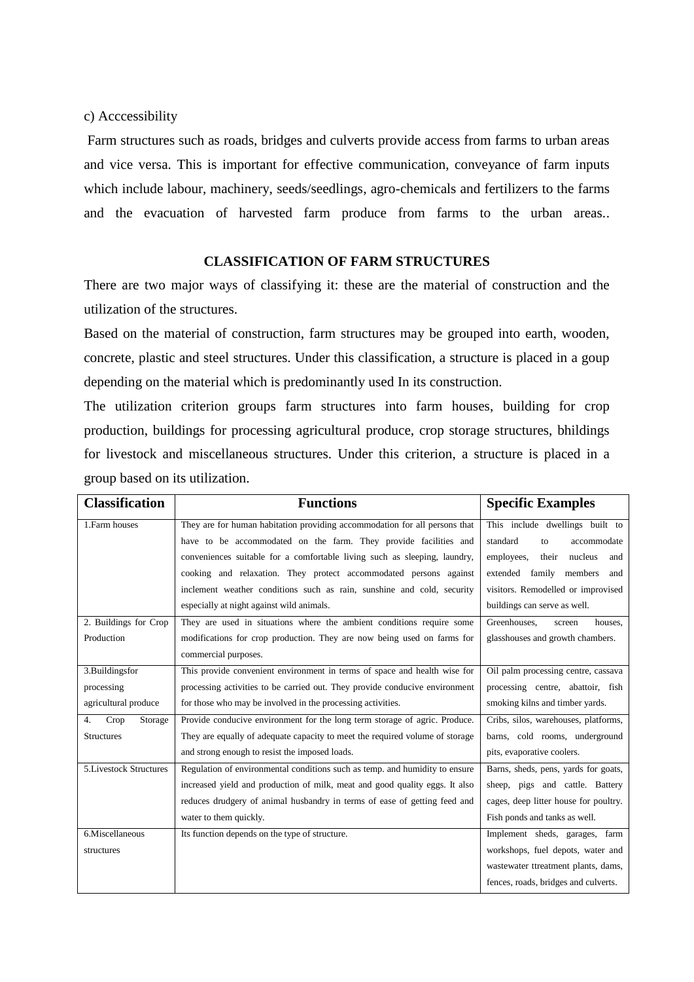#### c) Acccessibility

Farm structures such as roads, bridges and culverts provide access from farms to urban areas and vice versa. This is important for effective communication, conveyance of farm inputs which include labour, machinery, seeds/seedlings, agro-chemicals and fertilizers to the farms and the evacuation of harvested farm produce from farms to the urban areas..

### **CLASSIFICATION OF FARM STRUCTURES**

There are two major ways of classifying it: these are the material of construction and the utilization of the structures.

Based on the material of construction, farm structures may be grouped into earth, wooden, concrete, plastic and steel structures. Under this classification, a structure is placed in a goup depending on the material which is predominantly used In its construction.

The utilization criterion groups farm structures into farm houses, building for crop production, buildings for processing agricultural produce, crop storage structures, bhildings for livestock and miscellaneous structures. Under this criterion, a structure is placed in a group based on its utilization.

| <b>Classification</b>   | <b>Functions</b>                                                             | <b>Specific Examples</b>              |
|-------------------------|------------------------------------------------------------------------------|---------------------------------------|
| 1. Farm houses          | They are for human habitation providing accommodation for all persons that   | This include dwellings built to       |
|                         | have to be accommodated on the farm. They provide facilities and             | standard<br>accommodate<br>to         |
|                         | conveniences suitable for a comfortable living such as sleeping, laundry,    | employees,<br>their<br>nucleus<br>and |
|                         | cooking and relaxation. They protect accommodated persons against            | extended family members<br>and        |
|                         | inclement weather conditions such as rain, sunshine and cold, security       | visitors. Remodelled or improvised    |
|                         | especially at night against wild animals.                                    | buildings can serve as well.          |
| 2. Buildings for Crop   | They are used in situations where the ambient conditions require some        | Greenhouses,<br>houses.<br>screen     |
| Production              | modifications for crop production. They are now being used on farms for      | glasshouses and growth chambers.      |
|                         | commercial purposes.                                                         |                                       |
| 3.Buildingsfor          | This provide convenient environment in terms of space and health wise for    | Oil palm processing centre, cassava   |
| processing              | processing activities to be carried out. They provide conducive environment  | processing centre, abattoir, fish     |
| agricultural produce    | for those who may be involved in the processing activities.                  | smoking kilns and timber yards.       |
| Crop<br>Storage<br>4.   | Provide conducive environment for the long term storage of agric. Produce.   | Cribs, silos, warehouses, platforms,  |
| <b>Structures</b>       | They are equally of adequate capacity to meet the required volume of storage | barns, cold rooms, underground        |
|                         | and strong enough to resist the imposed loads.                               | pits, evaporative coolers.            |
| 5. Livestock Structures | Regulation of environmental conditions such as temp, and humidity to ensure  | Barns, sheds, pens, yards for goats,  |
|                         | increased yield and production of milk, meat and good quality eggs. It also  | sheep, pigs and cattle. Battery       |
|                         | reduces drudgery of animal husbandry in terms of ease of getting feed and    | cages, deep litter house for poultry. |
|                         | water to them quickly.                                                       | Fish ponds and tanks as well.         |
| 6.Miscellaneous         | Its function depends on the type of structure.                               | Implement sheds, garages, farm        |
| structures              |                                                                              | workshops, fuel depots, water and     |
|                         |                                                                              | wastewater ttreatment plants, dams,   |
|                         |                                                                              | fences, roads, bridges and culverts.  |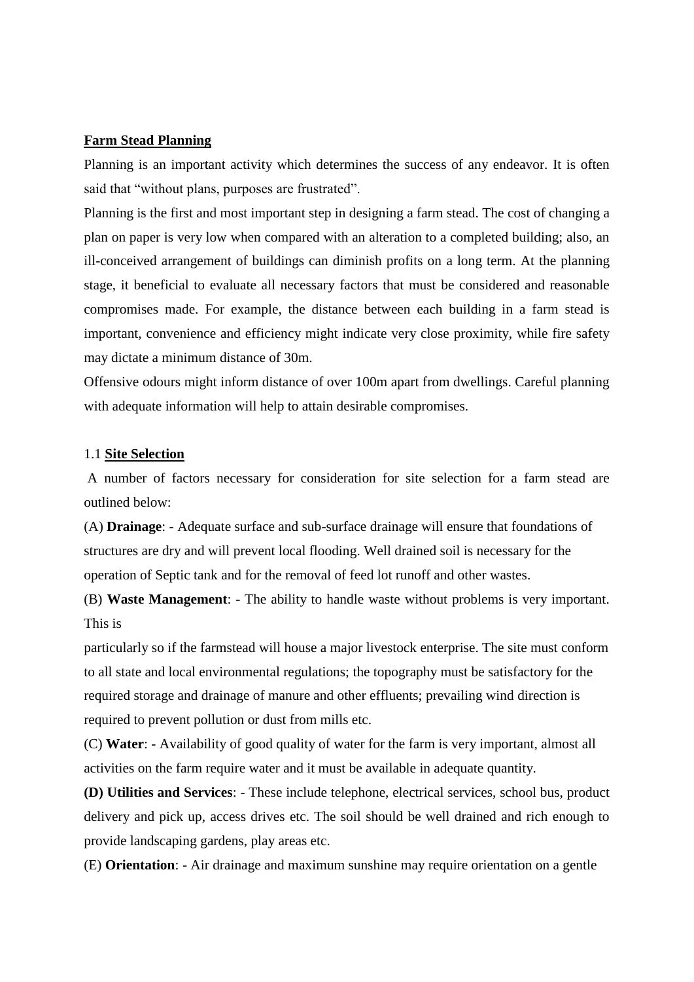### **Farm Stead Planning**

Planning is an important activity which determines the success of any endeavor. It is often said that "without plans, purposes are frustrated".

Planning is the first and most important step in designing a farm stead. The cost of changing a plan on paper is very low when compared with an alteration to a completed building; also, an ill-conceived arrangement of buildings can diminish profits on a long term. At the planning stage, it beneficial to evaluate all necessary factors that must be considered and reasonable compromises made. For example, the distance between each building in a farm stead is important, convenience and efficiency might indicate very close proximity, while fire safety may dictate a minimum distance of 30m.

Offensive odours might inform distance of over 100m apart from dwellings. Careful planning with adequate information will help to attain desirable compromises.

### 1.1 **Site Selection**

A number of factors necessary for consideration for site selection for a farm stead are outlined below:

(A) **Drainage**: - Adequate surface and sub-surface drainage will ensure that foundations of structures are dry and will prevent local flooding. Well drained soil is necessary for the operation of Septic tank and for the removal of feed lot runoff and other wastes.

(B) **Waste Management**: - The ability to handle waste without problems is very important. This is

particularly so if the farmstead will house a major livestock enterprise. The site must conform to all state and local environmental regulations; the topography must be satisfactory for the required storage and drainage of manure and other effluents; prevailing wind direction is required to prevent pollution or dust from mills etc.

(C) **Water**: - Availability of good quality of water for the farm is very important, almost all activities on the farm require water and it must be available in adequate quantity.

**(D) Utilities and Services**: - These include telephone, electrical services, school bus, product delivery and pick up, access drives etc. The soil should be well drained and rich enough to provide landscaping gardens, play areas etc.

(E) **Orientation**: - Air drainage and maximum sunshine may require orientation on a gentle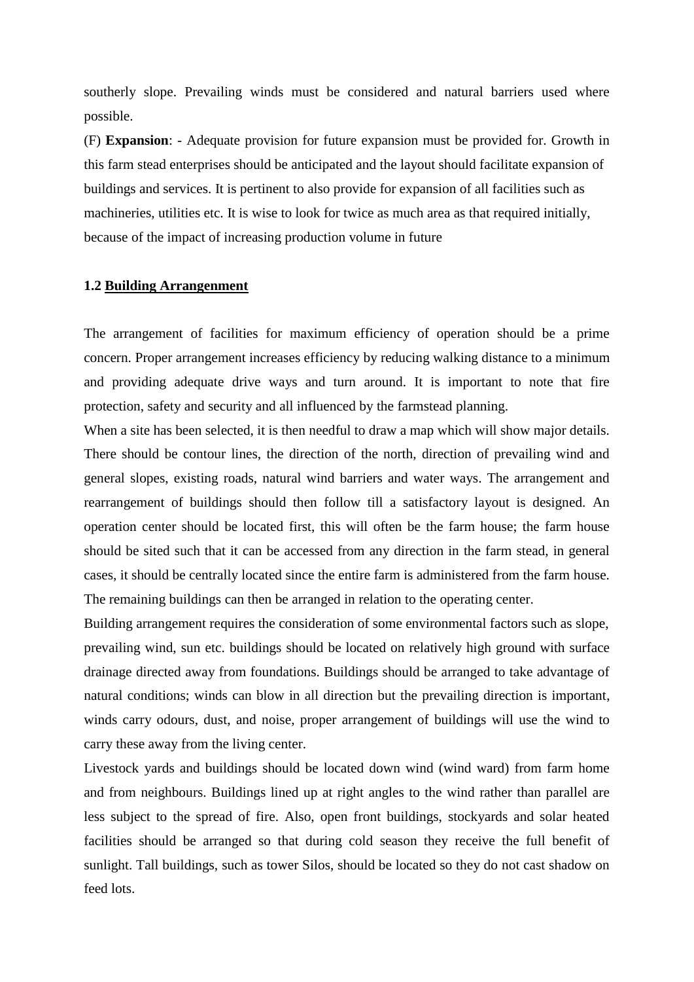southerly slope. Prevailing winds must be considered and natural barriers used where possible.

(F) **Expansion**: - Adequate provision for future expansion must be provided for. Growth in this farm stead enterprises should be anticipated and the layout should facilitate expansion of buildings and services. It is pertinent to also provide for expansion of all facilities such as machineries, utilities etc. It is wise to look for twice as much area as that required initially, because of the impact of increasing production volume in future

### **1.2 Building Arrangenment**

The arrangement of facilities for maximum efficiency of operation should be a prime concern. Proper arrangement increases efficiency by reducing walking distance to a minimum and providing adequate drive ways and turn around. It is important to note that fire protection, safety and security and all influenced by the farmstead planning.

When a site has been selected, it is then needful to draw a map which will show major details. There should be contour lines, the direction of the north, direction of prevailing wind and general slopes, existing roads, natural wind barriers and water ways. The arrangement and rearrangement of buildings should then follow till a satisfactory layout is designed. An operation center should be located first, this will often be the farm house; the farm house should be sited such that it can be accessed from any direction in the farm stead, in general cases, it should be centrally located since the entire farm is administered from the farm house. The remaining buildings can then be arranged in relation to the operating center.

Building arrangement requires the consideration of some environmental factors such as slope, prevailing wind, sun etc. buildings should be located on relatively high ground with surface drainage directed away from foundations. Buildings should be arranged to take advantage of natural conditions; winds can blow in all direction but the prevailing direction is important, winds carry odours, dust, and noise, proper arrangement of buildings will use the wind to carry these away from the living center.

Livestock yards and buildings should be located down wind (wind ward) from farm home and from neighbours. Buildings lined up at right angles to the wind rather than parallel are less subject to the spread of fire. Also, open front buildings, stockyards and solar heated facilities should be arranged so that during cold season they receive the full benefit of sunlight. Tall buildings, such as tower Silos, should be located so they do not cast shadow on feed lots.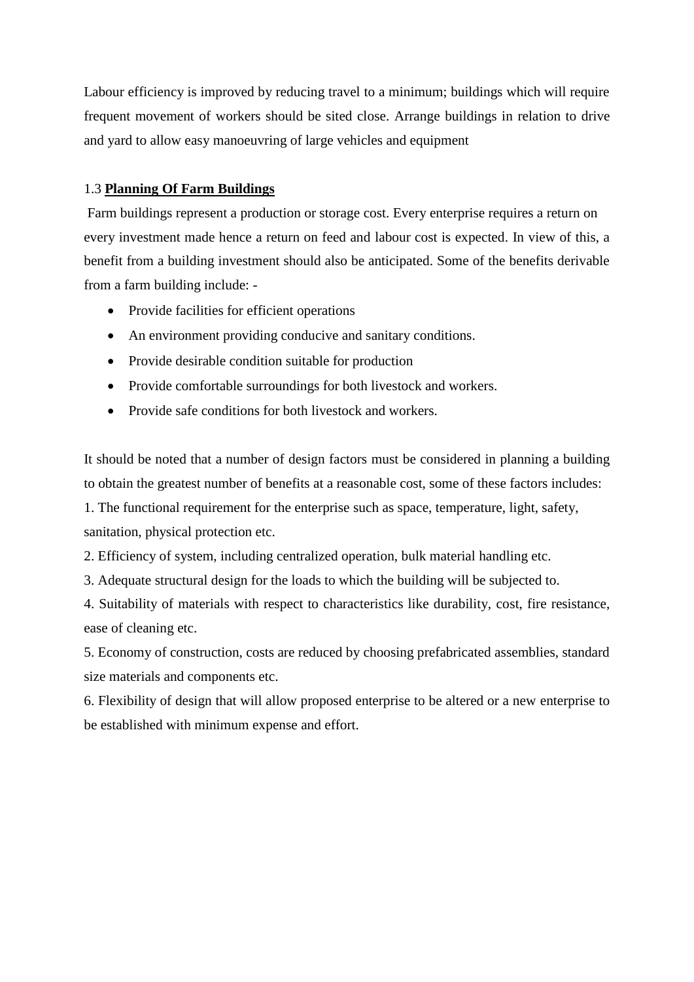Labour efficiency is improved by reducing travel to a minimum; buildings which will require frequent movement of workers should be sited close. Arrange buildings in relation to drive and yard to allow easy manoeuvring of large vehicles and equipment

# 1.3 **Planning Of Farm Buildings**

Farm buildings represent a production or storage cost. Every enterprise requires a return on every investment made hence a return on feed and labour cost is expected. In view of this, a benefit from a building investment should also be anticipated. Some of the benefits derivable from a farm building include: -

- Provide facilities for efficient operations
- An environment providing conducive and sanitary conditions.
- Provide desirable condition suitable for production
- Provide comfortable surroundings for both livestock and workers.
- Provide safe conditions for both livestock and workers.

It should be noted that a number of design factors must be considered in planning a building to obtain the greatest number of benefits at a reasonable cost, some of these factors includes:

1. The functional requirement for the enterprise such as space, temperature, light, safety, sanitation, physical protection etc.

2. Efficiency of system, including centralized operation, bulk material handling etc.

3. Adequate structural design for the loads to which the building will be subjected to.

4. Suitability of materials with respect to characteristics like durability, cost, fire resistance, ease of cleaning etc.

5. Economy of construction, costs are reduced by choosing prefabricated assemblies, standard size materials and components etc.

6. Flexibility of design that will allow proposed enterprise to be altered or a new enterprise to be established with minimum expense and effort.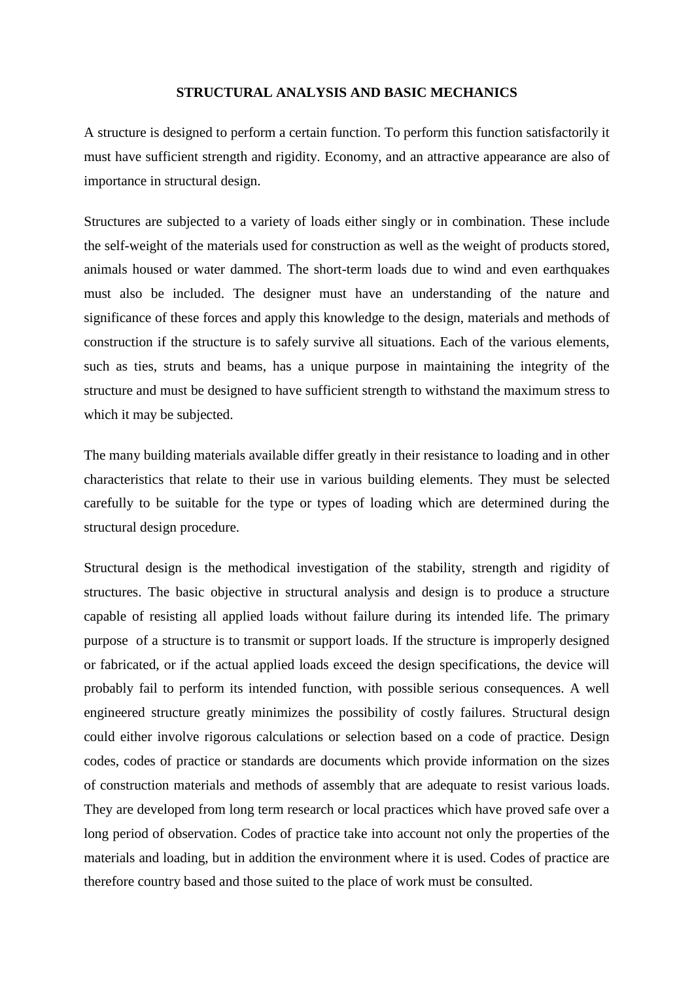#### **STRUCTURAL ANALYSIS AND BASIC MECHANICS**

A structure is designed to perform a certain function. To perform this function satisfactorily it must have sufficient strength and rigidity. Economy, and an attractive appearance are also of importance in structural design.

Structures are subjected to a variety of loads either singly or in combination. These include the self-weight of the materials used for construction as well as the weight of products stored, animals housed or water dammed. The short-term loads due to wind and even earthquakes must also be included. The designer must have an understanding of the nature and significance of these forces and apply this knowledge to the design, materials and methods of construction if the structure is to safely survive all situations. Each of the various elements, such as ties, struts and beams, has a unique purpose in maintaining the integrity of the structure and must be designed to have sufficient strength to withstand the maximum stress to which it may be subjected.

The many building materials available differ greatly in their resistance to loading and in other characteristics that relate to their use in various building elements. They must be selected carefully to be suitable for the type or types of loading which are determined during the structural design procedure.

Structural design is the methodical investigation of the stability, strength and rigidity of structures. The basic objective in structural analysis and design is to produce a structure capable of resisting all applied loads without failure during its intended life. The primary purpose of a structure is to transmit or support loads. If the structure is improperly designed or fabricated, or if the actual applied loads exceed the design specifications, the device will probably fail to perform its intended function, with possible serious consequences. A well engineered structure greatly minimizes the possibility of costly failures. Structural design could either involve rigorous calculations or selection based on a code of practice. Design codes, codes of practice or standards are documents which provide information on the sizes of construction materials and methods of assembly that are adequate to resist various loads. They are developed from long term research or local practices which have proved safe over a long period of observation. Codes of practice take into account not only the properties of the materials and loading, but in addition the environment where it is used. Codes of practice are therefore country based and those suited to the place of work must be consulted.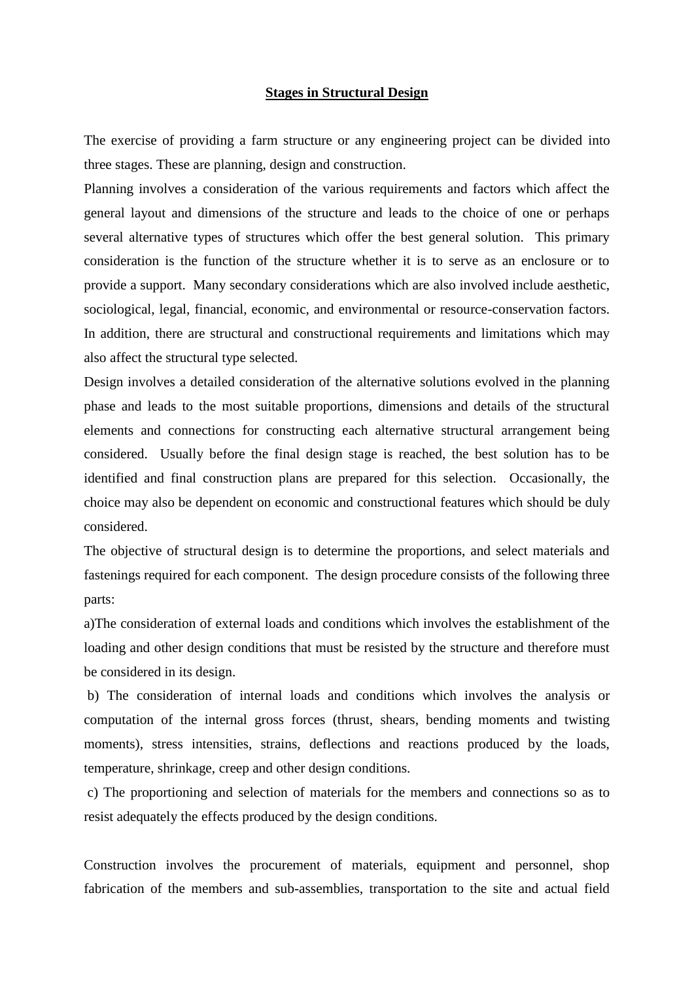#### **Stages in Structural Design**

The exercise of providing a farm structure or any engineering project can be divided into three stages. These are planning, design and construction.

Planning involves a consideration of the various requirements and factors which affect the general layout and dimensions of the structure and leads to the choice of one or perhaps several alternative types of structures which offer the best general solution. This primary consideration is the function of the structure whether it is to serve as an enclosure or to provide a support. Many secondary considerations which are also involved include aesthetic, sociological, legal, financial, economic, and environmental or resource-conservation factors. In addition, there are structural and constructional requirements and limitations which may also affect the structural type selected.

Design involves a detailed consideration of the alternative solutions evolved in the planning phase and leads to the most suitable proportions, dimensions and details of the structural elements and connections for constructing each alternative structural arrangement being considered. Usually before the final design stage is reached, the best solution has to be identified and final construction plans are prepared for this selection. Occasionally, the choice may also be dependent on economic and constructional features which should be duly considered.

The objective of structural design is to determine the proportions, and select materials and fastenings required for each component. The design procedure consists of the following three parts:

a)The consideration of external loads and conditions which involves the establishment of the loading and other design conditions that must be resisted by the structure and therefore must be considered in its design.

b) The consideration of internal loads and conditions which involves the analysis or computation of the internal gross forces (thrust, shears, bending moments and twisting moments), stress intensities, strains, deflections and reactions produced by the loads, temperature, shrinkage, creep and other design conditions.

c) The proportioning and selection of materials for the members and connections so as to resist adequately the effects produced by the design conditions.

Construction involves the procurement of materials, equipment and personnel, shop fabrication of the members and sub-assemblies, transportation to the site and actual field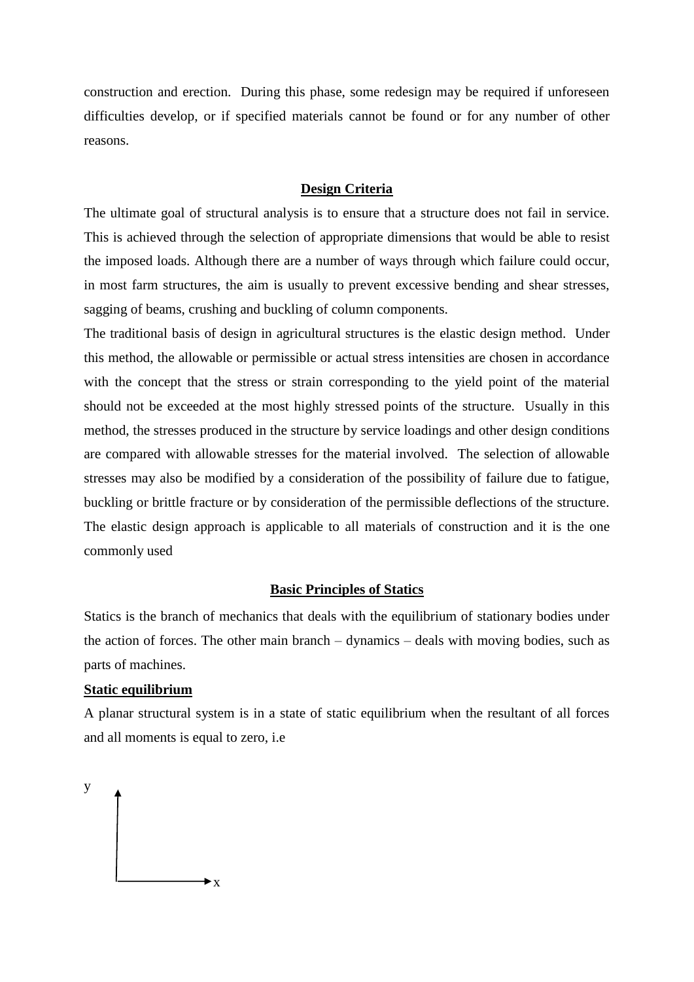construction and erection. During this phase, some redesign may be required if unforeseen difficulties develop, or if specified materials cannot be found or for any number of other reasons.

### **Design Criteria**

The ultimate goal of structural analysis is to ensure that a structure does not fail in service. This is achieved through the selection of appropriate dimensions that would be able to resist the imposed loads. Although there are a number of ways through which failure could occur, in most farm structures, the aim is usually to prevent excessive bending and shear stresses, sagging of beams, crushing and buckling of column components.

The traditional basis of design in agricultural structures is the elastic design method. Under this method, the allowable or permissible or actual stress intensities are chosen in accordance with the concept that the stress or strain corresponding to the yield point of the material should not be exceeded at the most highly stressed points of the structure. Usually in this method, the stresses produced in the structure by service loadings and other design conditions are compared with allowable stresses for the material involved. The selection of allowable stresses may also be modified by a consideration of the possibility of failure due to fatigue, buckling or brittle fracture or by consideration of the permissible deflections of the structure. The elastic design approach is applicable to all materials of construction and it is the one commonly used

#### **Basic Principles of Statics**

Statics is the branch of mechanics that deals with the equilibrium of stationary bodies under the action of forces. The other main branch – dynamics – deals with moving bodies, such as parts of machines.

### **Static equilibrium**

A planar structural system is in a state of static equilibrium when the resultant of all forces and all moments is equal to zero, i.e

y x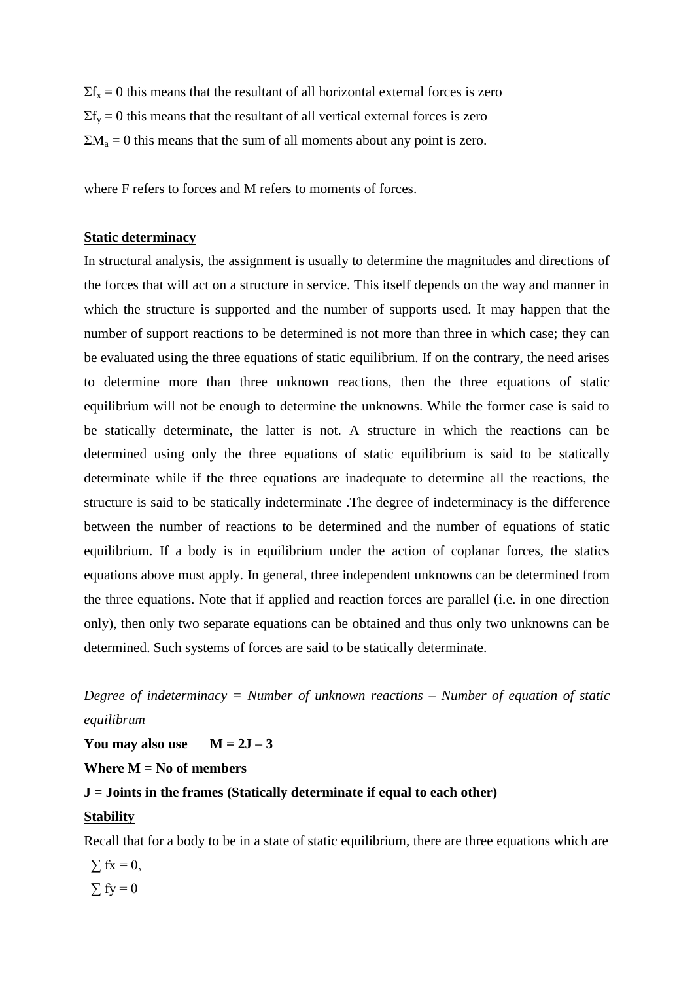$\Sigma f_x = 0$  this means that the resultant of all horizontal external forces is zero  $\Sigma f_y = 0$  this means that the resultant of all vertical external forces is zero  $\Sigma M_a = 0$  this means that the sum of all moments about any point is zero.

where F refers to forces and M refers to moments of forces.

#### **Static determinacy**

In structural analysis, the assignment is usually to determine the magnitudes and directions of the forces that will act on a structure in service. This itself depends on the way and manner in which the structure is supported and the number of supports used. It may happen that the number of support reactions to be determined is not more than three in which case; they can be evaluated using the three equations of static equilibrium. If on the contrary, the need arises to determine more than three unknown reactions, then the three equations of static equilibrium will not be enough to determine the unknowns. While the former case is said to be statically determinate, the latter is not. A structure in which the reactions can be determined using only the three equations of static equilibrium is said to be statically determinate while if the three equations are inadequate to determine all the reactions, the structure is said to be statically indeterminate .The degree of indeterminacy is the difference between the number of reactions to be determined and the number of equations of static equilibrium. If a body is in equilibrium under the action of coplanar forces, the statics equations above must apply. In general, three independent unknowns can be determined from the three equations. Note that if applied and reaction forces are parallel (i.e. in one direction only), then only two separate equations can be obtained and thus only two unknowns can be determined. Such systems of forces are said to be statically determinate.

*Degree of indeterminacy = Number of unknown reactions – Number of equation of static equilibrum*

You may also use  $M = 2J - 3$ 

**Where M = No of members**

### **J = Joints in the frames (Statically determinate if equal to each other)**

#### **Stability**

Recall that for a body to be in a state of static equilibrium, there are three equations which are

$$
\sum fx = 0,
$$
  

$$
\sum fy = 0
$$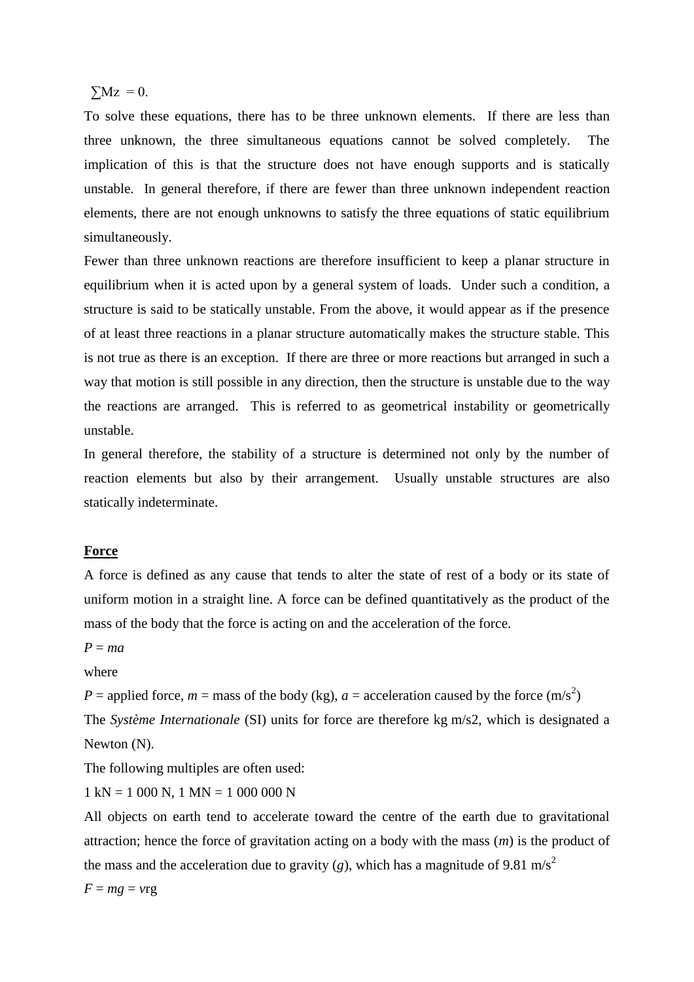$\Sigma Mz = 0$ .

To solve these equations, there has to be three unknown elements. If there are less than three unknown, the three simultaneous equations cannot be solved completely. The implication of this is that the structure does not have enough supports and is statically unstable. In general therefore, if there are fewer than three unknown independent reaction elements, there are not enough unknowns to satisfy the three equations of static equilibrium simultaneously.

Fewer than three unknown reactions are therefore insufficient to keep a planar structure in equilibrium when it is acted upon by a general system of loads. Under such a condition, a structure is said to be statically unstable. From the above, it would appear as if the presence of at least three reactions in a planar structure automatically makes the structure stable. This is not true as there is an exception. If there are three or more reactions but arranged in such a way that motion is still possible in any direction, then the structure is unstable due to the way the reactions are arranged. This is referred to as geometrical instability or geometrically unstable.

In general therefore, the stability of a structure is determined not only by the number of reaction elements but also by their arrangement. Usually unstable structures are also statically indeterminate.

#### **Force**

A force is defined as any cause that tends to alter the state of rest of a body or its state of uniform motion in a straight line. A force can be defined quantitatively as the product of the mass of the body that the force is acting on and the acceleration of the force.

 $P = ma$ 

where

 $P =$  applied force,  $m =$  mass of the body (kg),  $a =$  acceleration caused by the force (m/s<sup>2</sup>) The *Système Internationale* (SI) units for force are therefore kg m/s2, which is designated a Newton (N).

The following multiples are often used:

 $1 \text{ kN} = 1000 \text{ N}$ ,  $1 \text{ MN} = 1000000 \text{ N}$ 

All objects on earth tend to accelerate toward the centre of the earth due to gravitational attraction; hence the force of gravitation acting on a body with the mass (*m*) is the product of the mass and the acceleration due to gravity (*g*), which has a magnitude of 9.81 m/s<sup>2</sup>

 $F = mg = vrg$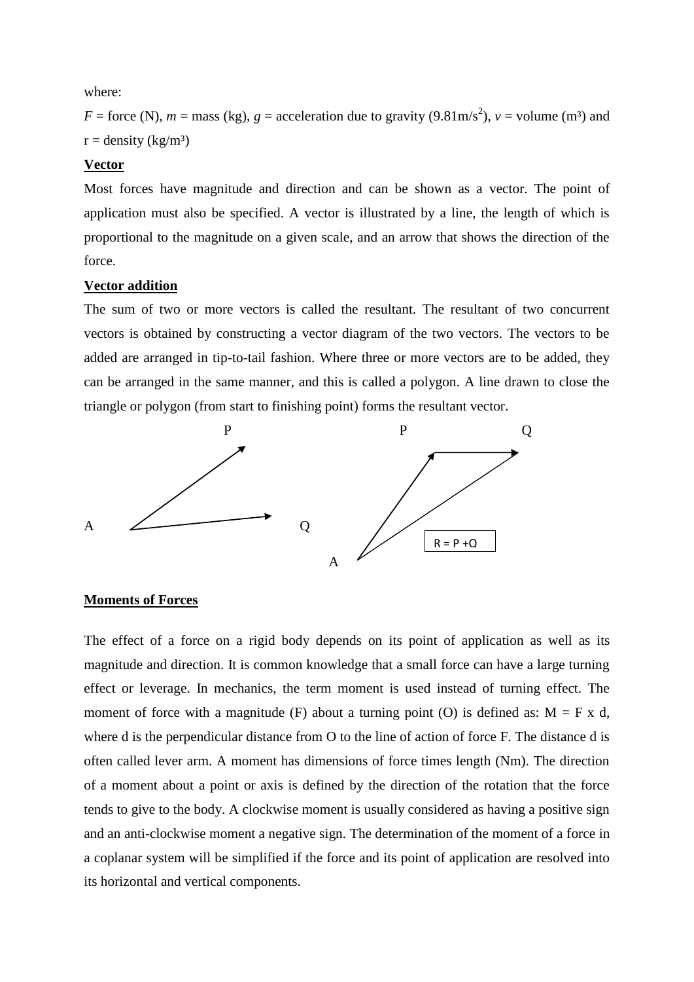where:

*F* = force (N), *m* = mass (kg), *g* = acceleration due to gravity (9.81m/s<sup>2</sup>), *v* = volume (m<sup>3</sup>) and  $r =$  density (kg/m<sup>3</sup>)

### **Vector**

Most forces have magnitude and direction and can be shown as a vector. The point of application must also be specified. A vector is illustrated by a line, the length of which is proportional to the magnitude on a given scale, and an arrow that shows the direction of the force.

### **Vector addition**

The sum of two or more vectors is called the resultant. The resultant of two concurrent vectors is obtained by constructing a vector diagram of the two vectors. The vectors to be added are arranged in tip-to-tail fashion. Where three or more vectors are to be added, they can be arranged in the same manner, and this is called a polygon. A line drawn to close the triangle or polygon (from start to finishing point) forms the resultant vector.



### **Moments of Forces**

The effect of a force on a rigid body depends on its point of application as well as its magnitude and direction. It is common knowledge that a small force can have a large turning effect or leverage. In mechanics, the term moment is used instead of turning effect. The moment of force with a magnitude (F) about a turning point (O) is defined as:  $M = F x d$ , where d is the perpendicular distance from O to the line of action of force F. The distance d is often called lever arm. A moment has dimensions of force times length (Nm). The direction of a moment about a point or axis is defined by the direction of the rotation that the force tends to give to the body. A clockwise moment is usually considered as having a positive sign and an anti-clockwise moment a negative sign. The determination of the moment of a force in a coplanar system will be simplified if the force and its point of application are resolved into its horizontal and vertical components.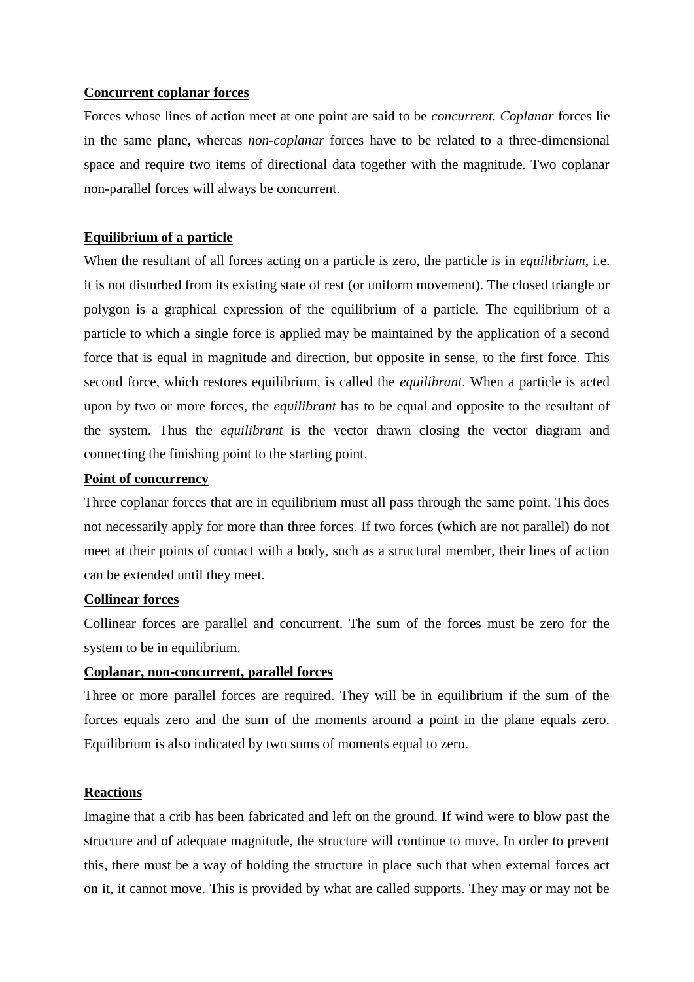### **Concurrent coplanar forces**

Forces whose lines of action meet at one point are said to be *concurrent. Coplanar* forces lie in the same plane, whereas *non-coplanar* forces have to be related to a three-dimensional space and require two items of directional data together with the magnitude. Two coplanar non-parallel forces will always be concurrent.

### **Equilibrium of a particle**

When the resultant of all forces acting on a particle is zero, the particle is in *equilibrium,* i.e. it is not disturbed from its existing state of rest (or uniform movement). The closed triangle or polygon is a graphical expression of the equilibrium of a particle. The equilibrium of a particle to which a single force is applied may be maintained by the application of a second force that is equal in magnitude and direction, but opposite in sense, to the first force. This second force, which restores equilibrium, is called the *equilibrant*. When a particle is acted upon by two or more forces, the *equilibrant* has to be equal and opposite to the resultant of the system. Thus the *equilibrant* is the vector drawn closing the vector diagram and connecting the finishing point to the starting point.

# **Point of concurrency**

Three coplanar forces that are in equilibrium must all pass through the same point. This does not necessarily apply for more than three forces. If two forces (which are not parallel) do not meet at their points of contact with a body, such as a structural member, their lines of action can be extended until they meet.

### **Collinear forces**

Collinear forces are parallel and concurrent. The sum of the forces must be zero for the system to be in equilibrium.

### **Coplanar, non-concurrent, parallel forces**

Three or more parallel forces are required. They will be in equilibrium if the sum of the forces equals zero and the sum of the moments around a point in the plane equals zero. Equilibrium is also indicated by two sums of moments equal to zero.

### **Reactions**

Imagine that a crib has been fabricated and left on the ground. If wind were to blow past the structure and of adequate magnitude, the structure will continue to move. In order to prevent this, there must be a way of holding the structure in place such that when external forces act on it, it cannot move. This is provided by what are called supports. They may or may not be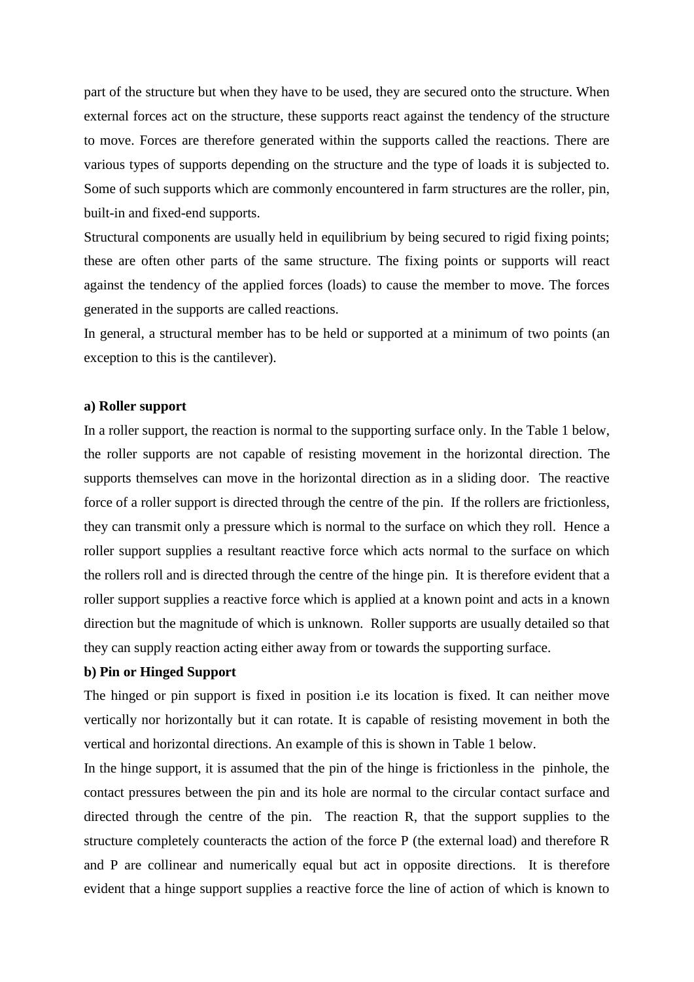part of the structure but when they have to be used, they are secured onto the structure. When external forces act on the structure, these supports react against the tendency of the structure to move. Forces are therefore generated within the supports called the reactions. There are various types of supports depending on the structure and the type of loads it is subjected to. Some of such supports which are commonly encountered in farm structures are the roller, pin, built-in and fixed-end supports.

Structural components are usually held in equilibrium by being secured to rigid fixing points; these are often other parts of the same structure. The fixing points or supports will react against the tendency of the applied forces (loads) to cause the member to move. The forces generated in the supports are called reactions.

In general, a structural member has to be held or supported at a minimum of two points (an exception to this is the cantilever).

#### **a) Roller support**

In a roller support, the reaction is normal to the supporting surface only. In the Table 1 below, the roller supports are not capable of resisting movement in the horizontal direction. The supports themselves can move in the horizontal direction as in a sliding door. The reactive force of a roller support is directed through the centre of the pin. If the rollers are frictionless, they can transmit only a pressure which is normal to the surface on which they roll. Hence a roller support supplies a resultant reactive force which acts normal to the surface on which the rollers roll and is directed through the centre of the hinge pin. It is therefore evident that a roller support supplies a reactive force which is applied at a known point and acts in a known direction but the magnitude of which is unknown. Roller supports are usually detailed so that they can supply reaction acting either away from or towards the supporting surface.

### **b) Pin or Hinged Support**

The hinged or pin support is fixed in position i.e its location is fixed. It can neither move vertically nor horizontally but it can rotate. It is capable of resisting movement in both the vertical and horizontal directions. An example of this is shown in Table 1 below.

In the hinge support, it is assumed that the pin of the hinge is frictionless in the pinhole, the contact pressures between the pin and its hole are normal to the circular contact surface and directed through the centre of the pin. The reaction R, that the support supplies to the structure completely counteracts the action of the force P (the external load) and therefore R and P are collinear and numerically equal but act in opposite directions. It is therefore evident that a hinge support supplies a reactive force the line of action of which is known to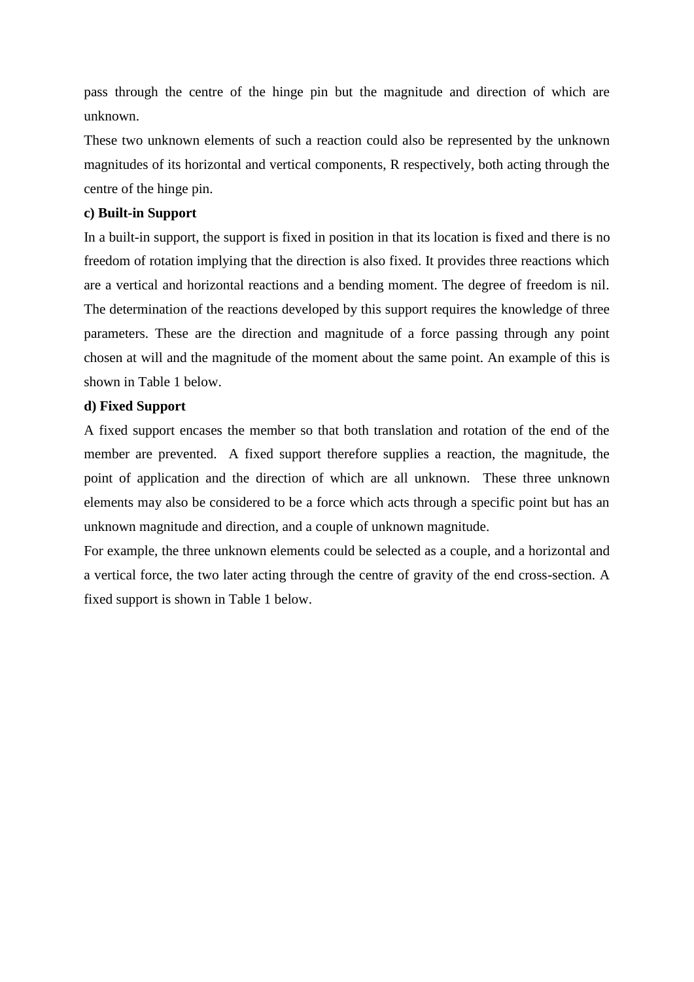pass through the centre of the hinge pin but the magnitude and direction of which are unknown.

These two unknown elements of such a reaction could also be represented by the unknown magnitudes of its horizontal and vertical components, R respectively, both acting through the centre of the hinge pin.

### **c) Built-in Support**

In a built-in support, the support is fixed in position in that its location is fixed and there is no freedom of rotation implying that the direction is also fixed. It provides three reactions which are a vertical and horizontal reactions and a bending moment. The degree of freedom is nil. The determination of the reactions developed by this support requires the knowledge of three parameters. These are the direction and magnitude of a force passing through any point chosen at will and the magnitude of the moment about the same point. An example of this is shown in Table 1 below.

# **d) Fixed Support**

A fixed support encases the member so that both translation and rotation of the end of the member are prevented. A fixed support therefore supplies a reaction, the magnitude, the point of application and the direction of which are all unknown. These three unknown elements may also be considered to be a force which acts through a specific point but has an unknown magnitude and direction, and a couple of unknown magnitude.

For example, the three unknown elements could be selected as a couple, and a horizontal and a vertical force, the two later acting through the centre of gravity of the end cross-section. A fixed support is shown in Table 1 below.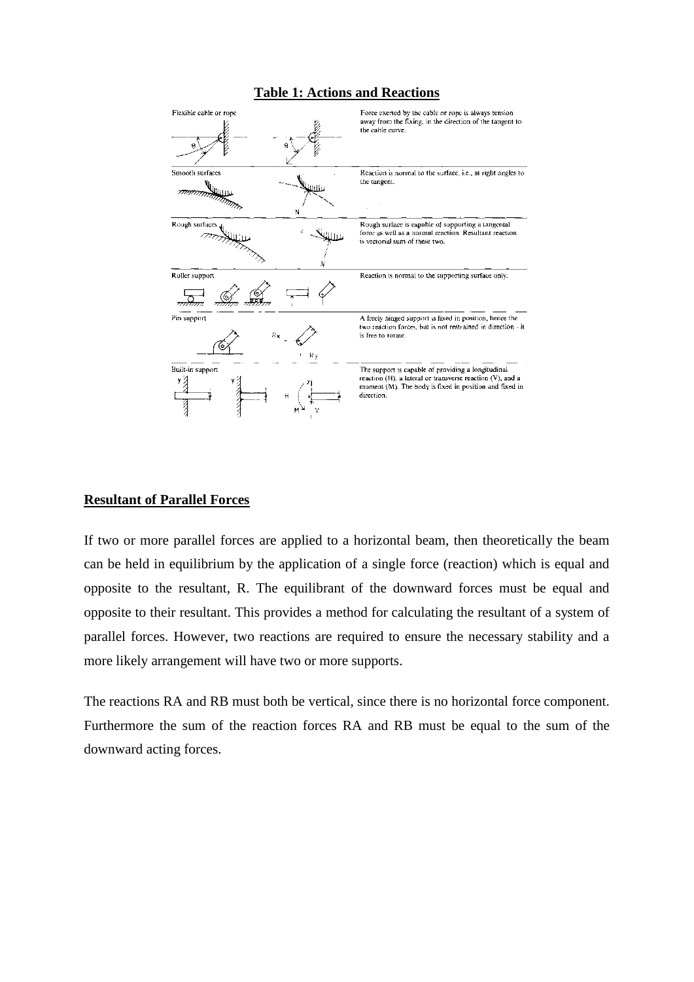### **Table 1: Actions and Reactions**



#### **Resultant of Parallel Forces**

If two or more parallel forces are applied to a horizontal beam, then theoretically the beam can be held in equilibrium by the application of a single force (reaction) which is equal and opposite to the resultant, R. The equilibrant of the downward forces must be equal and opposite to their resultant. This provides a method for calculating the resultant of a system of parallel forces. However, two reactions are required to ensure the necessary stability and a more likely arrangement will have two or more supports.

The reactions RA and RB must both be vertical, since there is no horizontal force component. Furthermore the sum of the reaction forces RA and RB must be equal to the sum of the downward acting forces.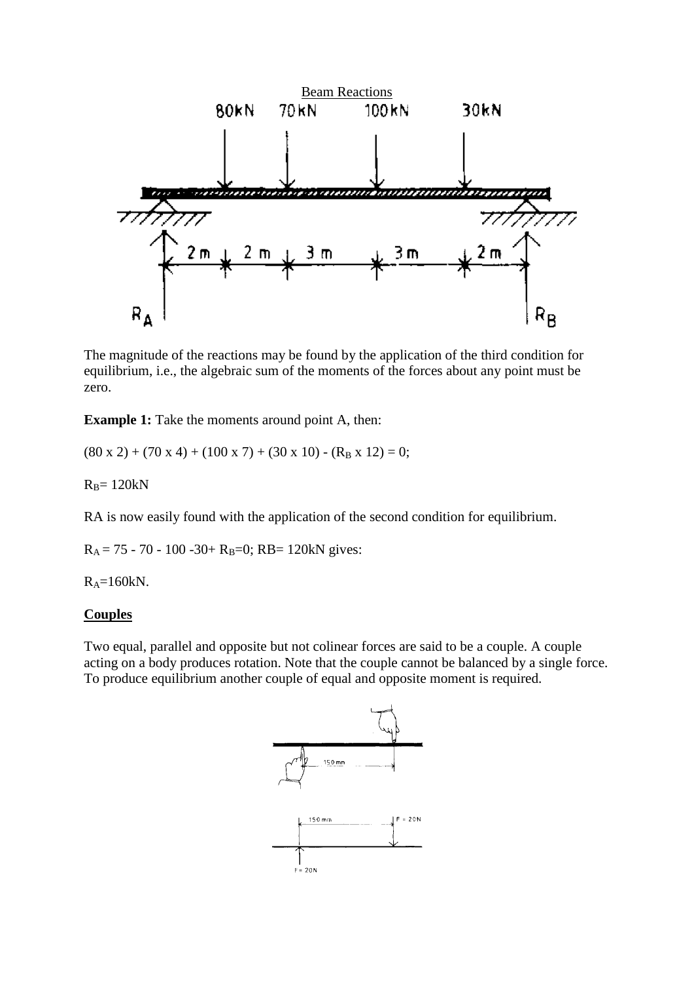

The magnitude of the reactions may be found by the application of the third condition for equilibrium, i.e., the algebraic sum of the moments of the forces about any point must be zero.

**Example 1:** Take the moments around point A, then:

 $(80 \times 2) + (70 \times 4) + (100 \times 7) + (30 \times 10) - (R_B \times 12) = 0;$ 

 $R_B$ = 120 $k$ N

RA is now easily found with the application of the second condition for equilibrium.

 $R_A = 75 - 70 - 100 - 30 + R_B = 0$ ; RB= 120kN gives:

 $R_A=160kN$ .

### **Couples**

Two equal, parallel and opposite but not colinear forces are said to be a couple. A couple acting on a body produces rotation. Note that the couple cannot be balanced by a single force. To produce equilibrium another couple of equal and opposite moment is required.

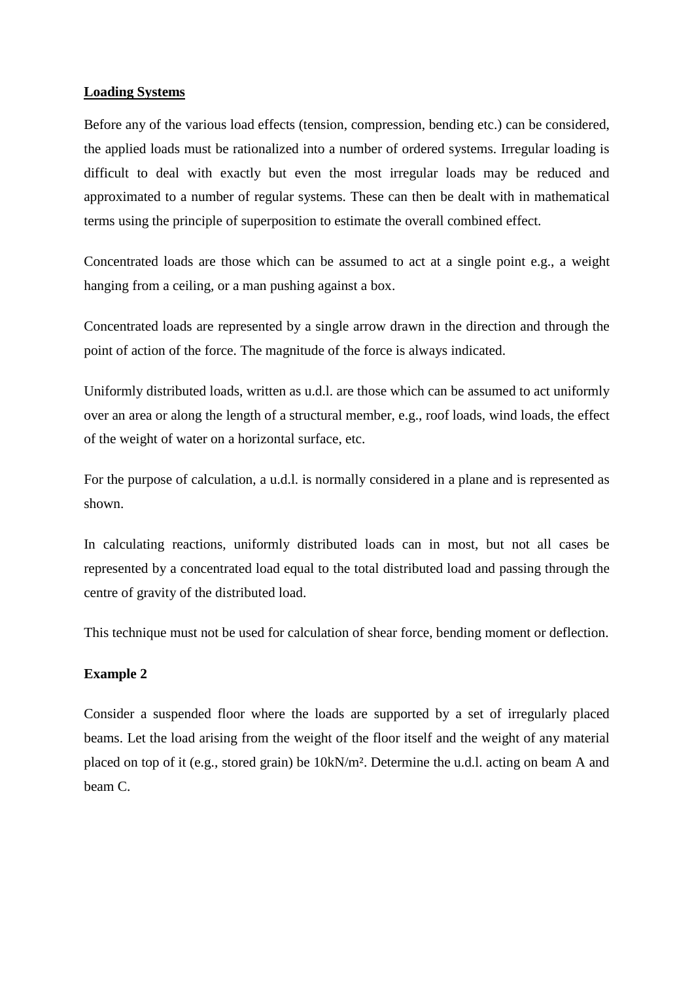### **Loading Systems**

Before any of the various load effects (tension, compression, bending etc.) can be considered, the applied loads must be rationalized into a number of ordered systems. Irregular loading is difficult to deal with exactly but even the most irregular loads may be reduced and approximated to a number of regular systems. These can then be dealt with in mathematical terms using the principle of superposition to estimate the overall combined effect.

Concentrated loads are those which can be assumed to act at a single point e.g., a weight hanging from a ceiling, or a man pushing against a box.

Concentrated loads are represented by a single arrow drawn in the direction and through the point of action of the force. The magnitude of the force is always indicated.

Uniformly distributed loads, written as u.d.l. are those which can be assumed to act uniformly over an area or along the length of a structural member, e.g., roof loads, wind loads, the effect of the weight of water on a horizontal surface, etc.

For the purpose of calculation, a u.d.l. is normally considered in a plane and is represented as shown.

In calculating reactions, uniformly distributed loads can in most, but not all cases be represented by a concentrated load equal to the total distributed load and passing through the centre of gravity of the distributed load.

This technique must not be used for calculation of shear force, bending moment or deflection.

### **Example 2**

Consider a suspended floor where the loads are supported by a set of irregularly placed beams. Let the load arising from the weight of the floor itself and the weight of any material placed on top of it (e.g., stored grain) be 10kN/m². Determine the u.d.l. acting on beam A and beam C.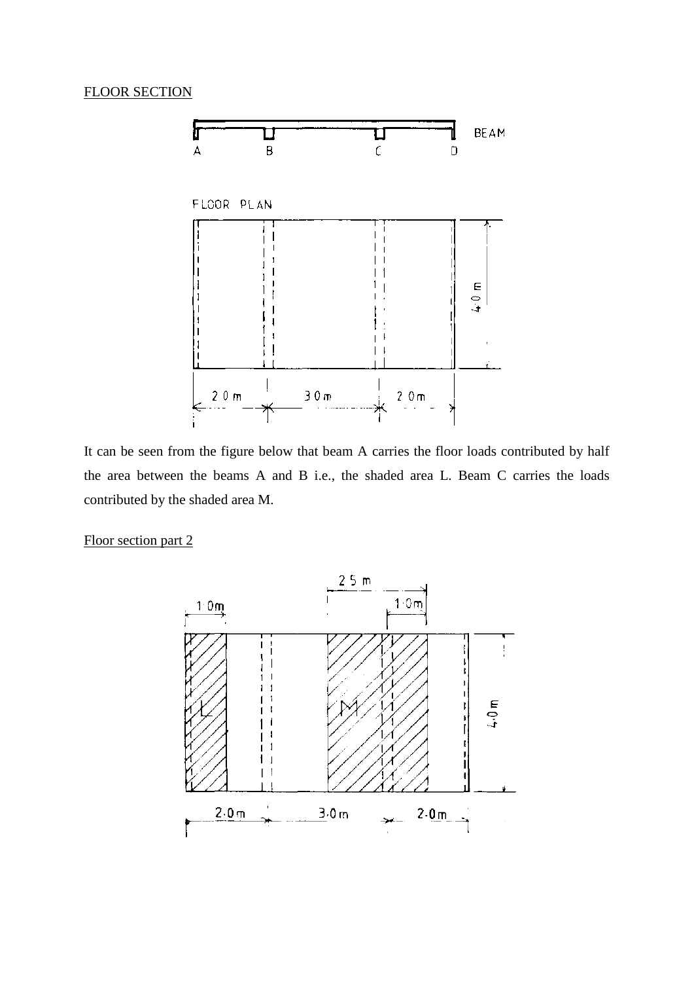

It can be seen from the figure below that beam A carries the floor loads contributed by half the area between the beams A and B i.e., the shaded area L. Beam C carries the loads contributed by the shaded area M.

[Floor section part 2](http://www.fao.org/docrep/S1250E/S1250E37.GIF)

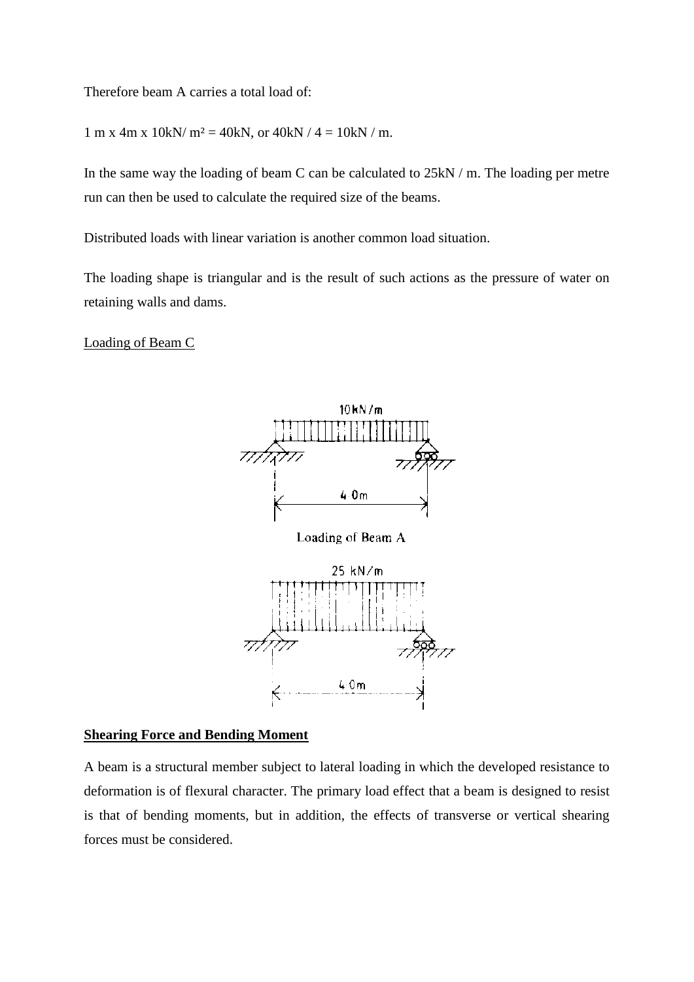Therefore beam A carries a total load of:

1 m x 4m x 10kN/  $m^2 = 40kN$ , or  $40kN / 4 = 10kN / m$ .

In the same way the loading of beam C can be calculated to  $25kN/m$ . The loading per metre run can then be used to calculate the required size of the beams.

Distributed loads with linear variation is another common load situation.

The loading shape is triangular and is the result of such actions as the pressure of water on retaining walls and dams.

[Loading of Beam C](http://www.fao.org/docrep/S1250E/S1250E38.GIF)



### **Shearing Force and Bending Moment**

A beam is a structural member subject to lateral loading in which the developed resistance to deformation is of flexural character. The primary load effect that a beam is designed to resist is that of bending moments, but in addition, the effects of transverse or vertical shearing forces must be considered.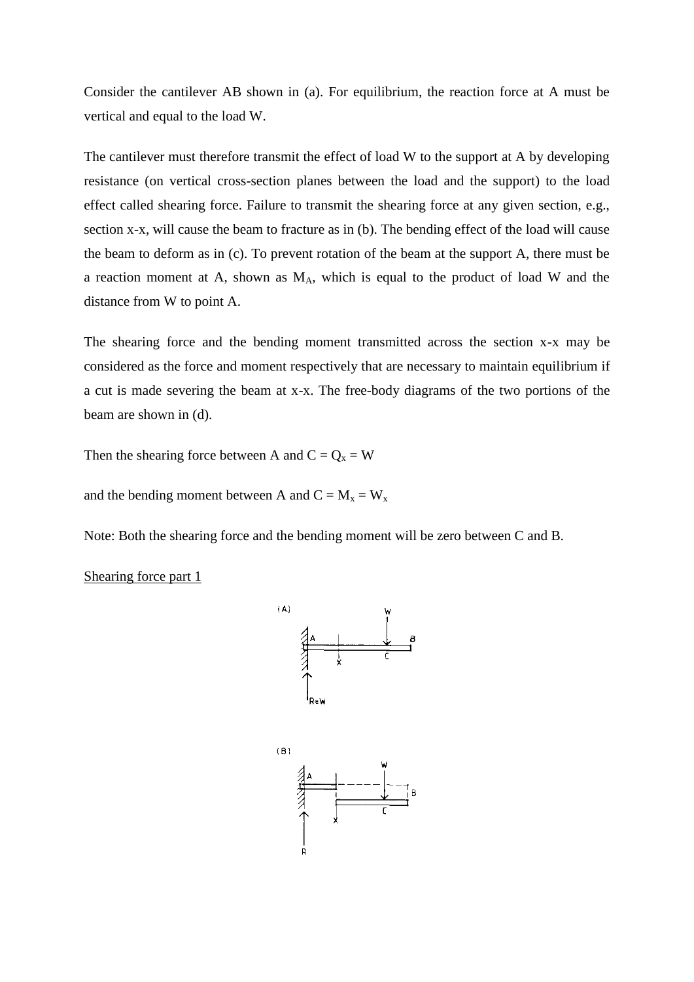Consider the cantilever AB shown in (a). For equilibrium, the reaction force at A must be vertical and equal to the load W.

The cantilever must therefore transmit the effect of load W to the support at A by developing resistance (on vertical cross-section planes between the load and the support) to the load effect called shearing force. Failure to transmit the shearing force at any given section, e.g., section x-x, will cause the beam to fracture as in (b). The bending effect of the load will cause the beam to deform as in (c). To prevent rotation of the beam at the support A, there must be a reaction moment at A, shown as  $M_A$ , which is equal to the product of load W and the distance from W to point A.

The shearing force and the bending moment transmitted across the section x-x may be considered as the force and moment respectively that are necessary to maintain equilibrium if a cut is made severing the beam at x-x. The free-body diagrams of the two portions of the beam are shown in (d).

Then the shearing force between A and  $C = Q_x = W$ 

and the bending moment between A and  $C = M_x = W_x$ 

Note: Both the shearing force and the bending moment will be zero between C and B.

[Shearing force part 1](http://www.fao.org/docrep/S1250E/S1250E39.GIF)

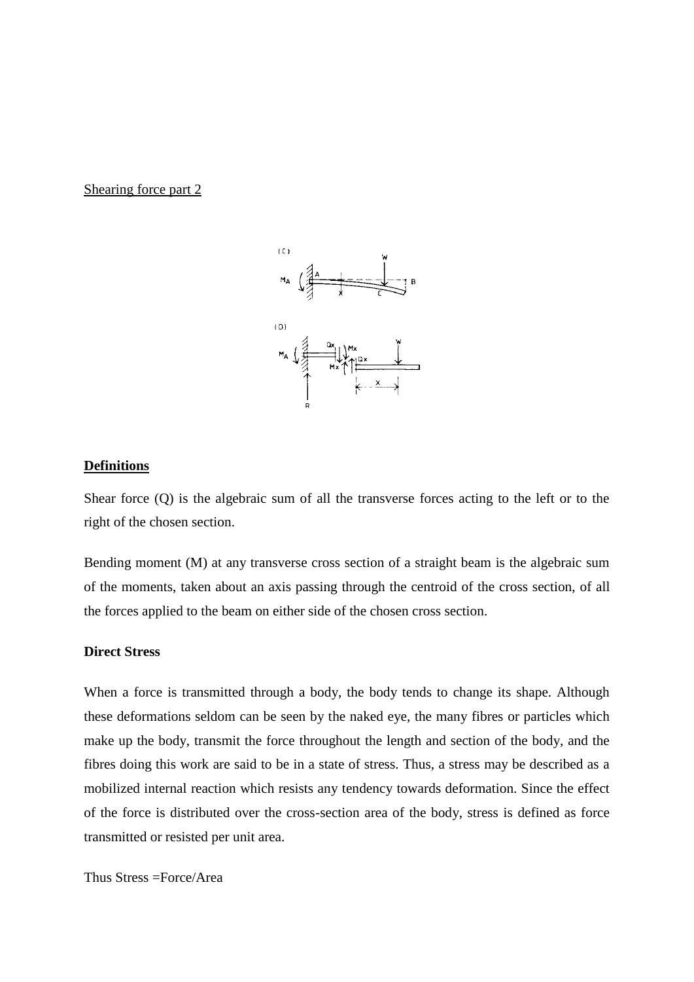[Shearing force part 2](http://www.fao.org/docrep/S1250E/S1250E3A.GIF)



### **Definitions**

Shear force (Q) is the algebraic sum of all the transverse forces acting to the left or to the right of the chosen section.

Bending moment (M) at any transverse cross section of a straight beam is the algebraic sum of the moments, taken about an axis passing through the centroid of the cross section, of all the forces applied to the beam on either side of the chosen cross section.

### **Direct Stress**

When a force is transmitted through a body, the body tends to change its shape. Although these deformations seldom can be seen by the naked eye, the many fibres or particles which make up the body, transmit the force throughout the length and section of the body, and the fibres doing this work are said to be in a state of stress. Thus, a stress may be described as a mobilized internal reaction which resists any tendency towards deformation. Since the effect of the force is distributed over the cross-section area of the body, stress is defined as force transmitted or resisted per unit area.

Thus Stress =Force/Area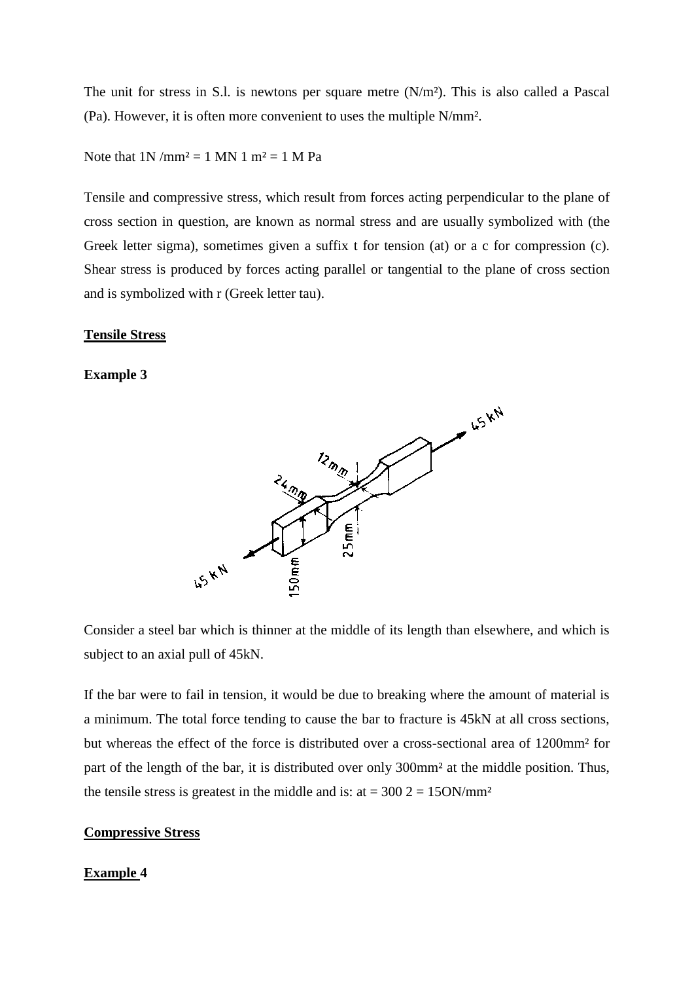The unit for stress in S.l. is newtons per square metre (N/m²). This is also called a Pascal (Pa). However, it is often more convenient to uses the multiple N/mm².

Note that  $1N/mm^2 = 1 MN 1 m^2 = 1 M Pa$ 

Tensile and compressive stress, which result from forces acting perpendicular to the plane of cross section in question, are known as normal stress and are usually symbolized with (the Greek letter sigma), sometimes given a suffix t for tension (at) or a c for compression (c). Shear stress is produced by forces acting parallel or tangential to the plane of cross section and is symbolized with r (Greek letter tau).

#### **Tensile Stress**

#### **Example 3**



Consider a steel bar which is thinner at the middle of its length than elsewhere, and which is subject to an axial pull of 45kN.

If the bar were to fail in tension, it would be due to breaking where the amount of material is a minimum. The total force tending to cause the bar to fracture is 45kN at all cross sections, but whereas the effect of the force is distributed over a cross-sectional area of 1200mm² for part of the length of the bar, it is distributed over only 300mm² at the middle position. Thus, the tensile stress is greatest in the middle and is: at  $= 300$  2  $= 15$ ON/mm<sup>2</sup>

### **Compressive Stress**

### **[Example 4](http://www.fao.org/docrep/S1250E/S1250E3I.GIF)**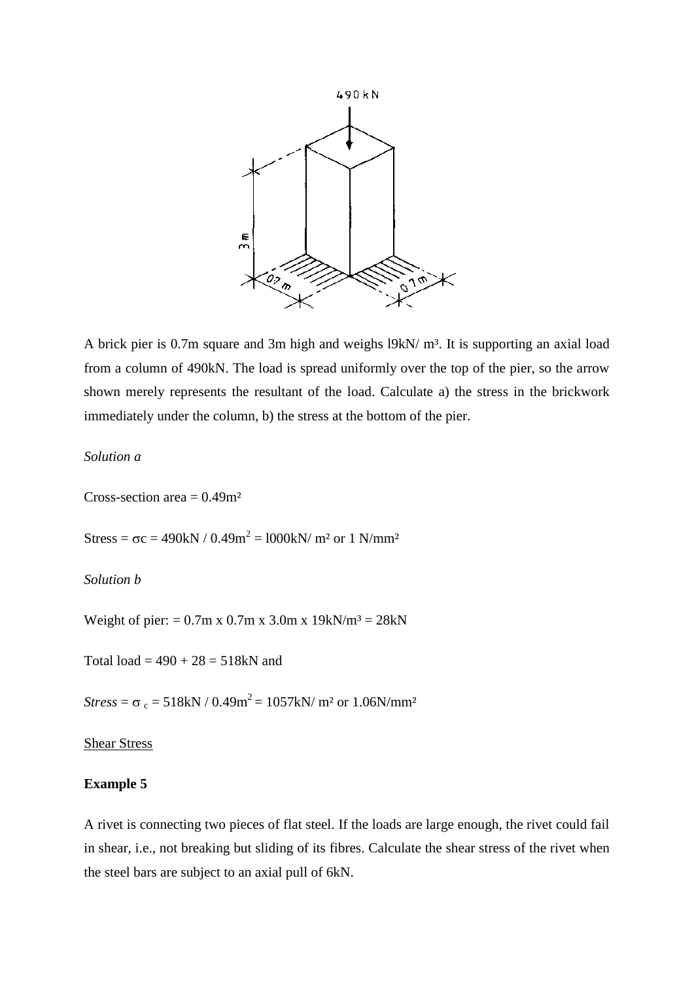

A brick pier is 0.7m square and 3m high and weighs  $19kN/m<sup>3</sup>$ . It is supporting an axial load from a column of 490kN. The load is spread uniformly over the top of the pier, so the arrow shown merely represents the resultant of the load. Calculate a) the stress in the brickwork immediately under the column, b) the stress at the bottom of the pier.

# *Solution a*

Cross-section area  $= 0.49$ m<sup>2</sup>

Stress =  $\sigma c = 490 \text{kN} / 0.49 \text{m}^2 = 1000 \text{kN} / \text{m}^2$  or 1 N/mm<sup>2</sup>

### *Solution b*

Weight of pier: =  $0.7$ m x  $0.7$ m x  $3.0$ m x  $19kN/m^3 = 28kN$ 

Total load =  $490 + 28 = 518$ kN and

 $Stress = \sigma_c = 518kN / 0.49m^2 = 1057kN/m^2$  or 1.06N/mm<sup>2</sup>

### Shear Stress

### **Example 5**

A rivet is connecting two pieces of flat steel. If the loads are large enough, the rivet could fail in shear, i.e., not breaking but sliding of its fibres. Calculate the shear stress of the rivet when the steel bars are subject to an axial pull of 6kN.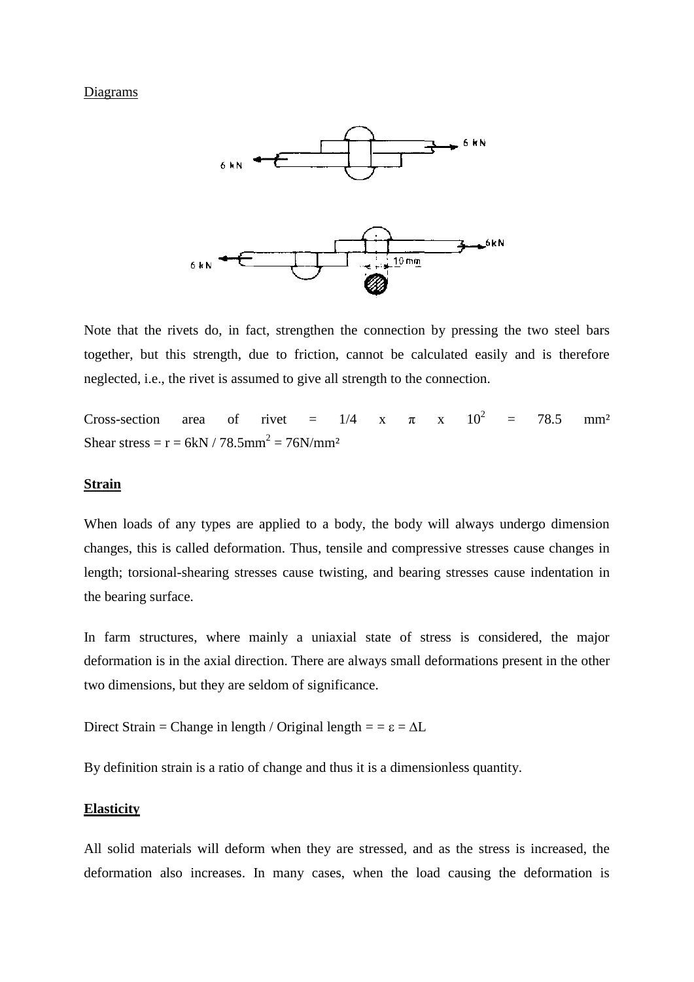[Diagrams](http://www.fao.org/docrep/S1250E/S1250E3J.GIF)



Note that the rivets do, in fact, strengthen the connection by pressing the two steel bars together, but this strength, due to friction, cannot be calculated easily and is therefore neglected, i.e., the rivet is assumed to give all strength to the connection.

Cross-section area of rivet =  $1/4$  x  $\pi$  x  $10^2$ = 78.5 mm² Shear stress =  $r = 6kN / 78.5mm^2 = 76N/mm^2$ 

### **Strain**

When loads of any types are applied to a body, the body will always undergo dimension changes, this is called deformation. Thus, tensile and compressive stresses cause changes in length; torsional-shearing stresses cause twisting, and bearing stresses cause indentation in the bearing surface.

In farm structures, where mainly a uniaxial state of stress is considered, the major deformation is in the axial direction. There are always small deformations present in the other two dimensions, but they are seldom of significance.

Direct Strain = Change in length / Original length =  $=\epsilon = \Delta L$ 

By definition strain is a ratio of change and thus it is a dimensionless quantity.

#### **Elasticity**

All solid materials will deform when they are stressed, and as the stress is increased, the deformation also increases. In many cases, when the load causing the deformation is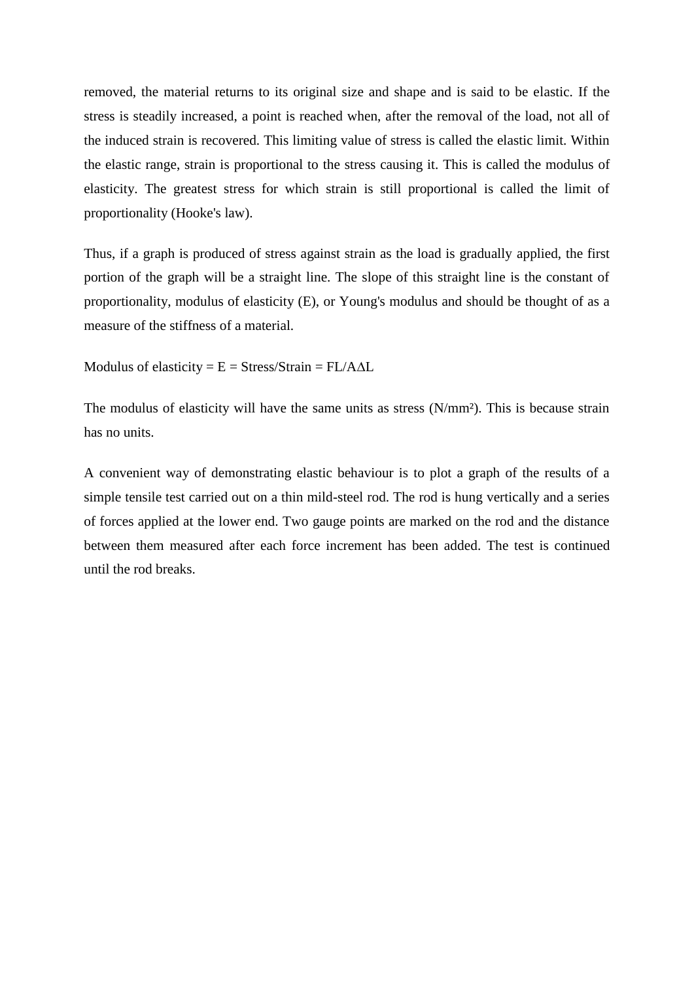removed, the material returns to its original size and shape and is said to be elastic. If the stress is steadily increased, a point is reached when, after the removal of the load, not all of the induced strain is recovered. This limiting value of stress is called the elastic limit. Within the elastic range, strain is proportional to the stress causing it. This is called the modulus of elasticity. The greatest stress for which strain is still proportional is called the limit of proportionality (Hooke's law).

Thus, if a graph is produced of stress against strain as the load is gradually applied, the first portion of the graph will be a straight line. The slope of this straight line is the constant of proportionality, modulus of elasticity (E), or Young's modulus and should be thought of as a measure of the stiffness of a material.

Modulus of elasticity =  $E = \frac{Stress}{Strain} = \frac{FL}{A\Delta L}$ 

The modulus of elasticity will have the same units as stress (N/mm²). This is because strain has no units.

A convenient way of demonstrating elastic behaviour is to plot a graph of the results of a simple tensile test carried out on a thin mild-steel rod. The rod is hung vertically and a series of forces applied at the lower end. Two gauge points are marked on the rod and the distance between them measured after each force increment has been added. The test is continued until the rod breaks.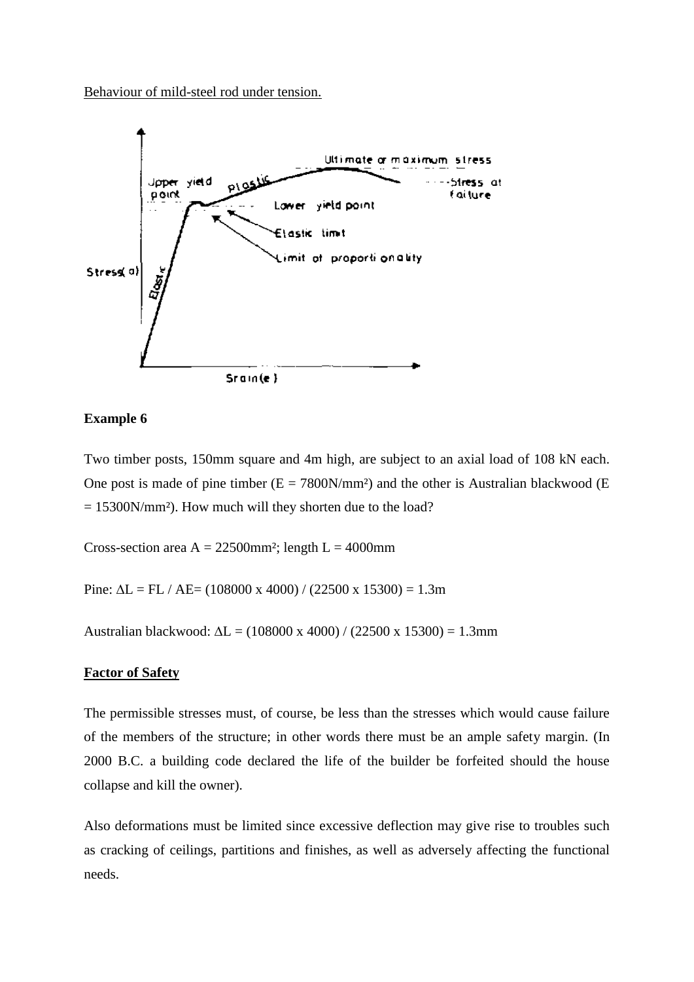[Behaviour of mild-steel rod under tension.](http://www.fao.org/docrep/S1250E/S1250E3K.GIF)



### **Example 6**

Two timber posts, 150mm square and 4m high, are subject to an axial load of 108 kN each. One post is made of pine timber  $(E = 7800N/mm^2)$  and the other is Australian blackwood (E  $= 15300$ N/mm<sup>2</sup>). How much will they shorten due to the load?

Cross-section area  $A = 22500$ mm<sup>2</sup>; length  $L = 4000$ mm

Pine:  $\Delta L = FL / AE = (108000 \times 4000) / (22500 \times 15300) = 1.3m$ 

Australian blackwood:  $\Delta L = (108000 \times 4000) / (22500 \times 15300) = 1.3$ mm

### **Factor of Safety**

The permissible stresses must, of course, be less than the stresses which would cause failure of the members of the structure; in other words there must be an ample safety margin. (In 2000 B.C. a building code declared the life of the builder be forfeited should the house collapse and kill the owner).

Also deformations must be limited since excessive deflection may give rise to troubles such as cracking of ceilings, partitions and finishes, as well as adversely affecting the functional needs.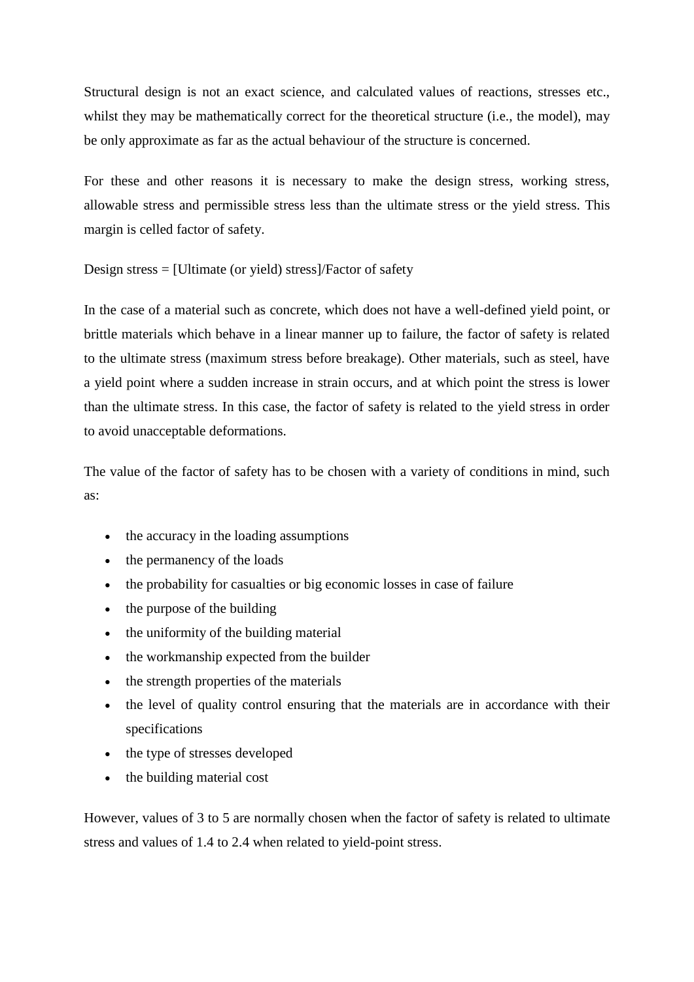Structural design is not an exact science, and calculated values of reactions, stresses etc., whilst they may be mathematically correct for the theoretical structure (i.e., the model), may be only approximate as far as the actual behaviour of the structure is concerned.

For these and other reasons it is necessary to make the design stress, working stress, allowable stress and permissible stress less than the ultimate stress or the yield stress. This margin is celled factor of safety.

Design stress = [Ultimate (or yield) stress]/Factor of safety

In the case of a material such as concrete, which does not have a well-defined yield point, or brittle materials which behave in a linear manner up to failure, the factor of safety is related to the ultimate stress (maximum stress before breakage). Other materials, such as steel, have a yield point where a sudden increase in strain occurs, and at which point the stress is lower than the ultimate stress. In this case, the factor of safety is related to the yield stress in order to avoid unacceptable deformations.

The value of the factor of safety has to be chosen with a variety of conditions in mind, such as:

- the accuracy in the loading assumptions
- the permanency of the loads
- the probability for casualties or big economic losses in case of failure
- $\bullet$  the purpose of the building
- the uniformity of the building material
- the workmanship expected from the builder
- the strength properties of the materials
- the level of quality control ensuring that the materials are in accordance with their specifications
- the type of stresses developed
- the building material cost

However, values of 3 to 5 are normally chosen when the factor of safety is related to ultimate stress and values of 1.4 to 2.4 when related to yield-point stress.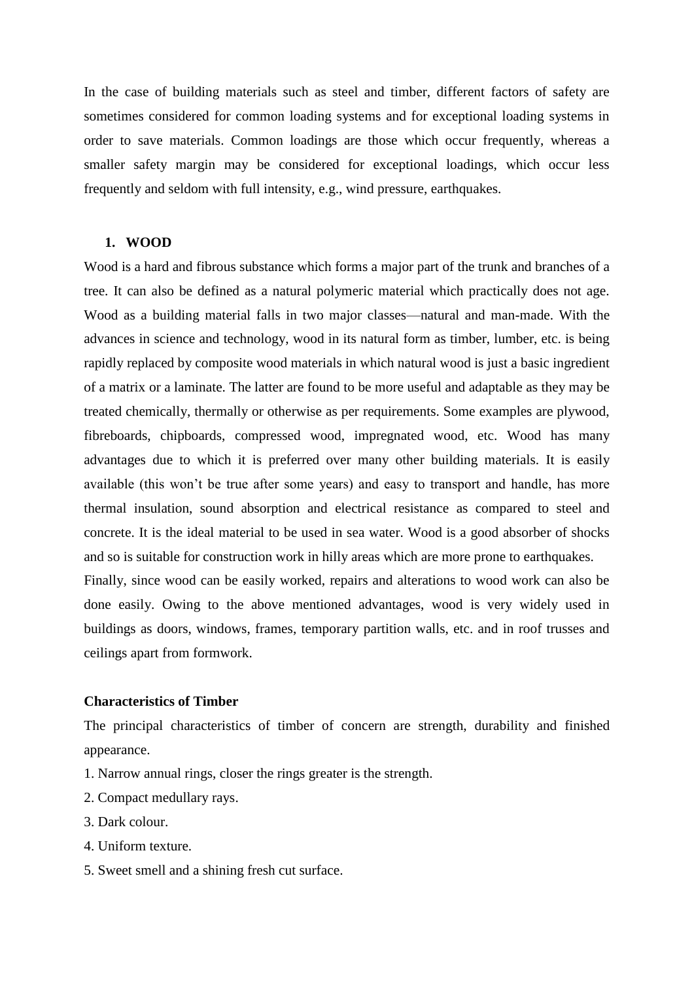In the case of building materials such as steel and timber, different factors of safety are sometimes considered for common loading systems and for exceptional loading systems in order to save materials. Common loadings are those which occur frequently, whereas a smaller safety margin may be considered for exceptional loadings, which occur less frequently and seldom with full intensity, e.g., wind pressure, earthquakes.

#### **1. WOOD**

Wood is a hard and fibrous substance which forms a major part of the trunk and branches of a tree. It can also be defined as a natural polymeric material which practically does not age. Wood as a building material falls in two major classes—natural and man-made. With the advances in science and technology, wood in its natural form as timber, lumber, etc. is being rapidly replaced by composite wood materials in which natural wood is just a basic ingredient of a matrix or a laminate. The latter are found to be more useful and adaptable as they may be treated chemically, thermally or otherwise as per requirements. Some examples are plywood, fibreboards, chipboards, compressed wood, impregnated wood, etc. Wood has many advantages due to which it is preferred over many other building materials. It is easily available (this won't be true after some years) and easy to transport and handle, has more thermal insulation, sound absorption and electrical resistance as compared to steel and concrete. It is the ideal material to be used in sea water. Wood is a good absorber of shocks and so is suitable for construction work in hilly areas which are more prone to earthquakes.

Finally, since wood can be easily worked, repairs and alterations to wood work can also be done easily. Owing to the above mentioned advantages, wood is very widely used in buildings as doors, windows, frames, temporary partition walls, etc. and in roof trusses and ceilings apart from formwork.

### **Characteristics of Timber**

The principal characteristics of timber of concern are strength, durability and finished appearance.

- 1. Narrow annual rings, closer the rings greater is the strength.
- 2. Compact medullary rays.
- 3. Dark colour.
- 4. Uniform texture.
- 5. Sweet smell and a shining fresh cut surface.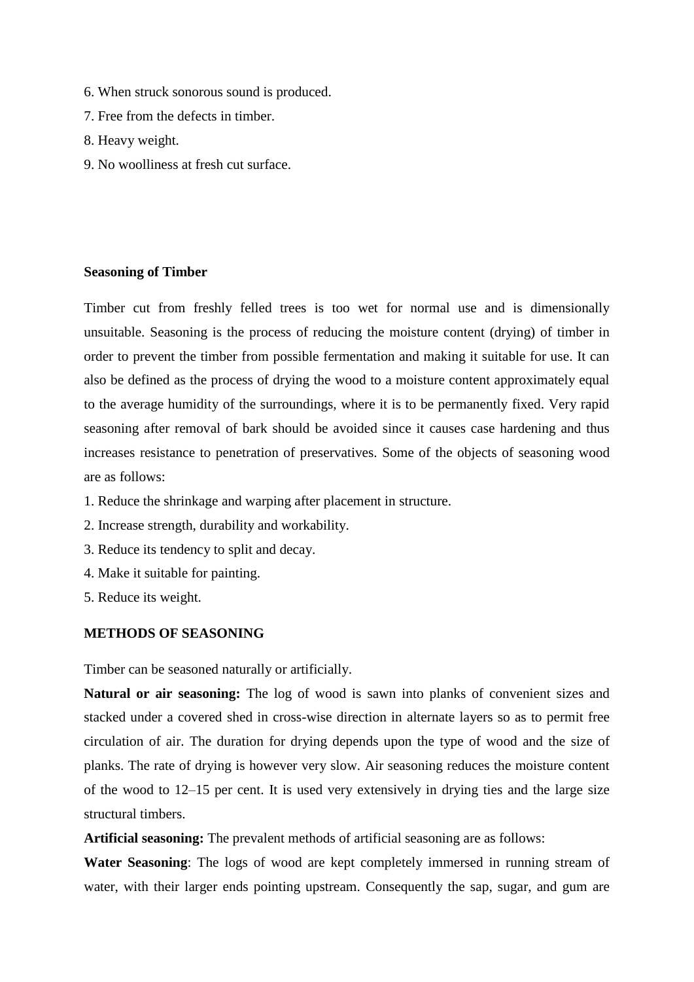- 6. When struck sonorous sound is produced.
- 7. Free from the defects in timber.
- 8. Heavy weight.
- 9. No woolliness at fresh cut surface.

### **Seasoning of Timber**

Timber cut from freshly felled trees is too wet for normal use and is dimensionally unsuitable. Seasoning is the process of reducing the moisture content (drying) of timber in order to prevent the timber from possible fermentation and making it suitable for use. It can also be defined as the process of drying the wood to a moisture content approximately equal to the average humidity of the surroundings, where it is to be permanently fixed. Very rapid seasoning after removal of bark should be avoided since it causes case hardening and thus increases resistance to penetration of preservatives. Some of the objects of seasoning wood are as follows:

- 1. Reduce the shrinkage and warping after placement in structure.
- 2. Increase strength, durability and workability.
- 3. Reduce its tendency to split and decay.
- 4. Make it suitable for painting.
- 5. Reduce its weight.

### **METHODS OF SEASONING**

Timber can be seasoned naturally or artificially.

**Natural or air seasoning:** The log of wood is sawn into planks of convenient sizes and stacked under a covered shed in cross-wise direction in alternate layers so as to permit free circulation of air. The duration for drying depends upon the type of wood and the size of planks. The rate of drying is however very slow. Air seasoning reduces the moisture content of the wood to 12–15 per cent. It is used very extensively in drying ties and the large size structural timbers.

**Artificial seasoning:** The prevalent methods of artificial seasoning are as follows:

**Water Seasoning**: The logs of wood are kept completely immersed in running stream of water, with their larger ends pointing upstream. Consequently the sap, sugar, and gum are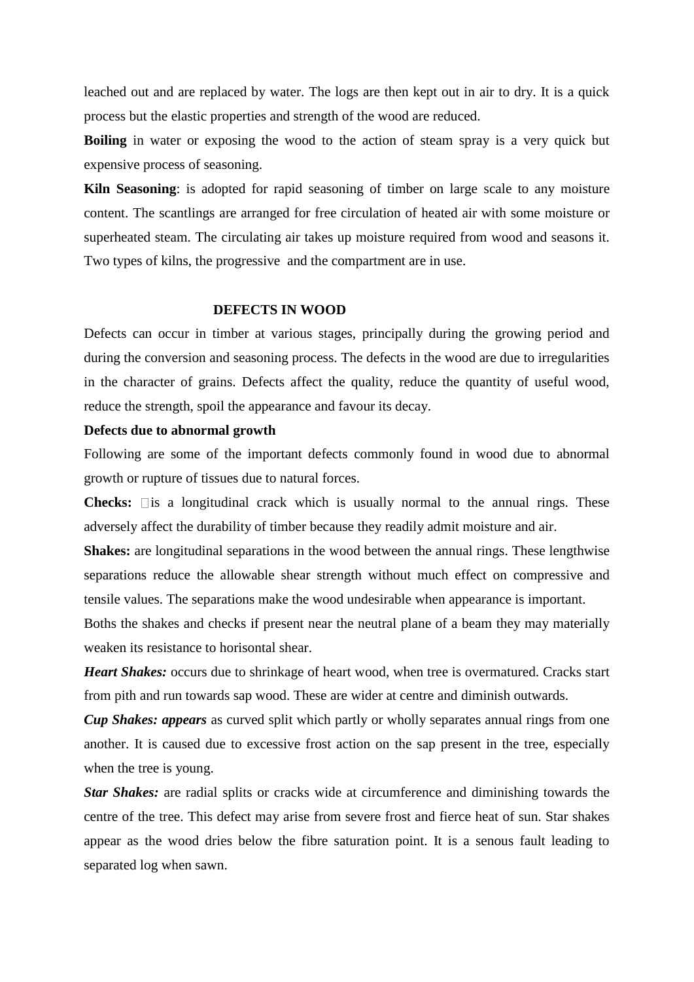leached out and are replaced by water. The logs are then kept out in air to dry. It is a quick process but the elastic properties and strength of the wood are reduced.

**Boiling** in water or exposing the wood to the action of steam spray is a very quick but expensive process of seasoning.

**Kiln Seasoning**: is adopted for rapid seasoning of timber on large scale to any moisture content. The scantlings are arranged for free circulation of heated air with some moisture or superheated steam. The circulating air takes up moisture required from wood and seasons it. Two types of kilns, the progressive and the compartment are in use.

#### **DEFECTS IN WOOD**

Defects can occur in timber at various stages, principally during the growing period and during the conversion and seasoning process. The defects in the wood are due to irregularities in the character of grains. Defects affect the quality, reduce the quantity of useful wood, reduce the strength, spoil the appearance and favour its decay.

### **Defects due to abnormal growth**

Following are some of the important defects commonly found in wood due to abnormal growth or rupture of tissues due to natural forces.

**Checks:**  $\Box$  is a longitudinal crack which is usually normal to the annual rings. These adversely affect the durability of timber because they readily admit moisture and air.

**Shakes:** are longitudinal separations in the wood between the annual rings. These lengthwise separations reduce the allowable shear strength without much effect on compressive and tensile values. The separations make the wood undesirable when appearance is important.

Boths the shakes and checks if present near the neutral plane of a beam they may materially weaken its resistance to horisontal shear.

*Heart Shakes:* occurs due to shrinkage of heart wood, when tree is overmatured. Cracks start from pith and run towards sap wood. These are wider at centre and diminish outwards.

*Cup Shakes: appears* as curved split which partly or wholly separates annual rings from one another. It is caused due to excessive frost action on the sap present in the tree, especially when the tree is young.

*Star Shakes:* are radial splits or cracks wide at circumference and diminishing towards the centre of the tree. This defect may arise from severe frost and fierce heat of sun. Star shakes appear as the wood dries below the fibre saturation point. It is a senous fault leading to separated log when sawn.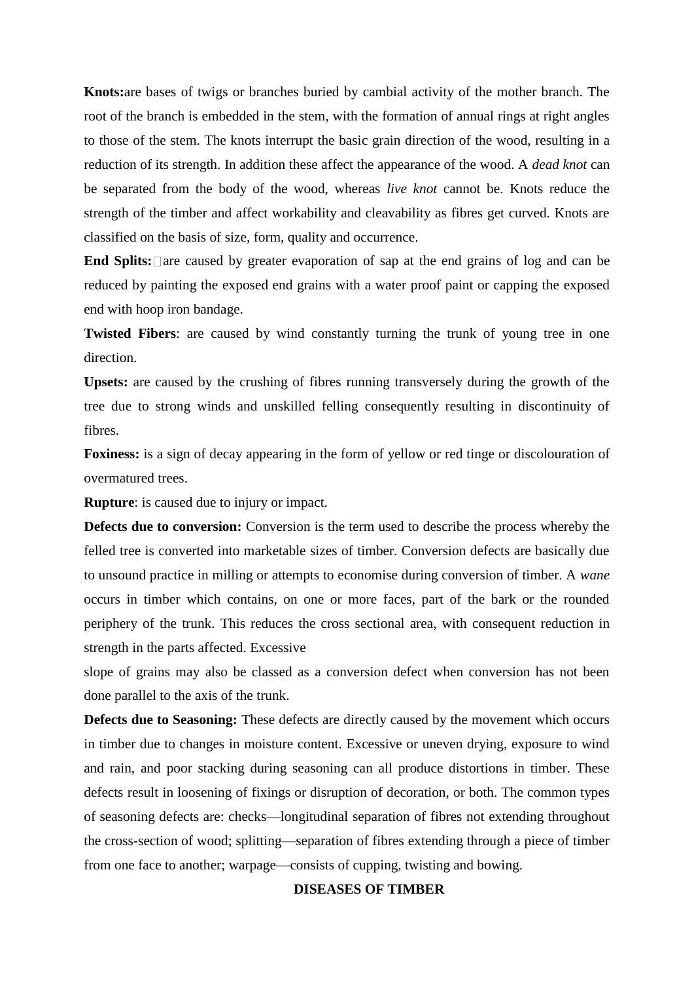**Knots:**are bases of twigs or branches buried by cambial activity of the mother branch. The root of the branch is embedded in the stem, with the formation of annual rings at right angles to those of the stem. The knots interrupt the basic grain direction of the wood, resulting in a reduction of its strength. In addition these affect the appearance of the wood. A *dead knot* can be separated from the body of the wood, whereas *live knot* cannot be. Knots reduce the strength of the timber and affect workability and cleavability as fibres get curved. Knots are classified on the basis of size, form, quality and occurrence.

**End Splits:**  $\Box$  are caused by greater evaporation of sap at the end grains of log and can be reduced by painting the exposed end grains with a water proof paint or capping the exposed end with hoop iron bandage.

**Twisted Fibers:** are caused by wind constantly turning the trunk of young tree in one direction.

**Upsets:** are caused by the crushing of fibres running transversely during the growth of the tree due to strong winds and unskilled felling consequently resulting in discontinuity of fibres.

**Foxiness:** is a sign of decay appearing in the form of yellow or red tinge or discolouration of overmatured trees.

**Rupture**: is caused due to injury or impact.

**Defects due to conversion:** Conversion is the term used to describe the process whereby the felled tree is converted into marketable sizes of timber. Conversion defects are basically due to unsound practice in milling or attempts to economise during conversion of timber. A *wane* occurs in timber which contains, on one or more faces, part of the bark or the rounded periphery of the trunk. This reduces the cross sectional area, with consequent reduction in strength in the parts affected. Excessive

slope of grains may also be classed as a conversion defect when conversion has not been done parallel to the axis of the trunk.

**Defects due to Seasoning:** These defects are directly caused by the movement which occurs in timber due to changes in moisture content. Excessive or uneven drying, exposure to wind and rain, and poor stacking during seasoning can all produce distortions in timber. These defects result in loosening of fixings or disruption of decoration, or both. The common types of seasoning defects are: checks—longitudinal separation of fibres not extending throughout the cross-section of wood; splitting—separation of fibres extending through a piece of timber from one face to another; warpage—consists of cupping, twisting and bowing.

# **DISEASES OF TIMBER**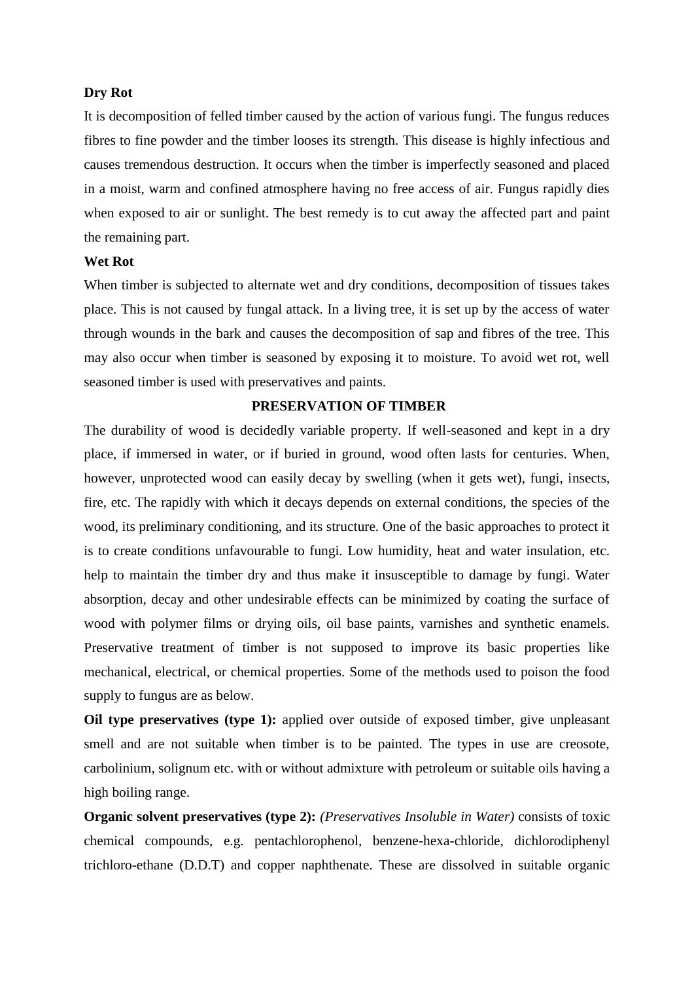### **Dry Rot**

It is decomposition of felled timber caused by the action of various fungi. The fungus reduces fibres to fine powder and the timber looses its strength. This disease is highly infectious and causes tremendous destruction. It occurs when the timber is imperfectly seasoned and placed in a moist, warm and confined atmosphere having no free access of air. Fungus rapidly dies when exposed to air or sunlight. The best remedy is to cut away the affected part and paint the remaining part.

### **Wet Rot**

When timber is subjected to alternate wet and dry conditions, decomposition of tissues takes place. This is not caused by fungal attack. In a living tree, it is set up by the access of water through wounds in the bark and causes the decomposition of sap and fibres of the tree. This may also occur when timber is seasoned by exposing it to moisture. To avoid wet rot, well seasoned timber is used with preservatives and paints.

### **PRESERVATION OF TIMBER**

The durability of wood is decidedly variable property. If well-seasoned and kept in a dry place, if immersed in water, or if buried in ground, wood often lasts for centuries. When, however, unprotected wood can easily decay by swelling (when it gets wet), fungi, insects, fire, etc. The rapidly with which it decays depends on external conditions, the species of the wood, its preliminary conditioning, and its structure. One of the basic approaches to protect it is to create conditions unfavourable to fungi. Low humidity, heat and water insulation, etc. help to maintain the timber dry and thus make it insusceptible to damage by fungi. Water absorption, decay and other undesirable effects can be minimized by coating the surface of wood with polymer films or drying oils, oil base paints, varnishes and synthetic enamels. Preservative treatment of timber is not supposed to improve its basic properties like mechanical, electrical, or chemical properties. Some of the methods used to poison the food supply to fungus are as below.

**Oil type preservatives (type 1):** applied over outside of exposed timber, give unpleasant smell and are not suitable when timber is to be painted. The types in use are creosote, carbolinium, solignum etc. with or without admixture with petroleum or suitable oils having a high boiling range.

**Organic solvent preservatives (type 2):** *(Preservatives Insoluble in Water)* consists of toxic chemical compounds, e.g. pentachlorophenol, benzene-hexa-chloride, dichlorodiphenyl trichloro-ethane (D.D.T) and copper naphthenate. These are dissolved in suitable organic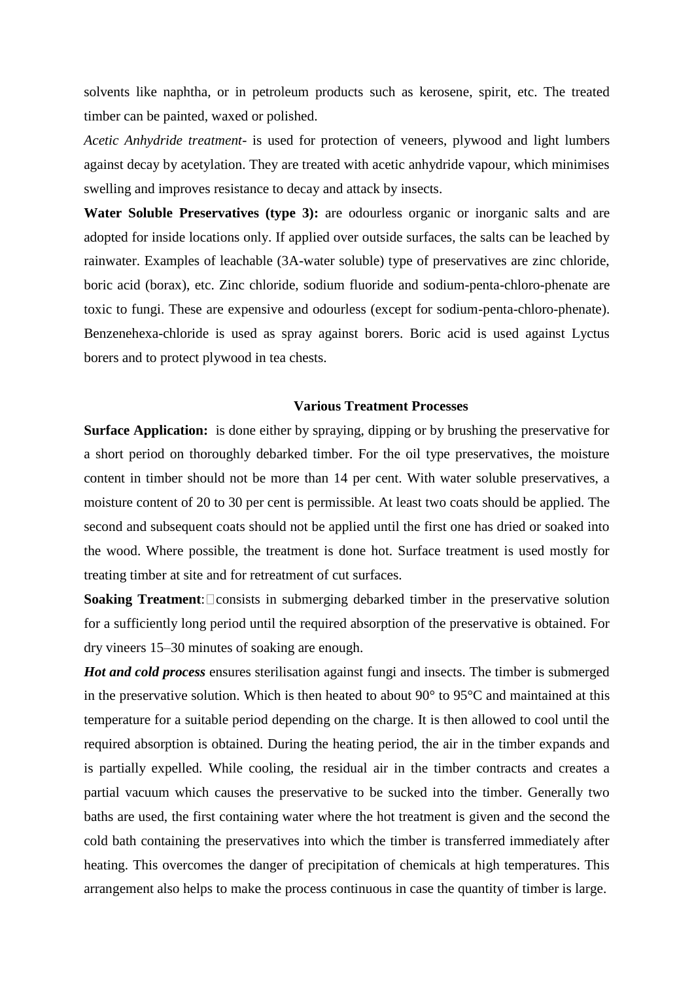solvents like naphtha, or in petroleum products such as kerosene, spirit, etc. The treated timber can be painted, waxed or polished.

*Acetic Anhydride treatment*- is used for protection of veneers, plywood and light lumbers against decay by acetylation. They are treated with acetic anhydride vapour, which minimises swelling and improves resistance to decay and attack by insects.

**Water Soluble Preservatives (type 3):** are odourless organic or inorganic salts and are adopted for inside locations only. If applied over outside surfaces, the salts can be leached by rainwater. Examples of leachable (3A-water soluble) type of preservatives are zinc chloride, boric acid (borax), etc. Zinc chloride, sodium fluoride and sodium-penta-chloro-phenate are toxic to fungi. These are expensive and odourless (except for sodium-penta-chloro-phenate). Benzenehexa-chloride is used as spray against borers. Boric acid is used against Lyctus borers and to protect plywood in tea chests.

#### **Various Treatment Processes**

**Surface Application:** is done either by spraying, dipping or by brushing the preservative for a short period on thoroughly debarked timber. For the oil type preservatives, the moisture content in timber should not be more than 14 per cent. With water soluble preservatives, a moisture content of 20 to 30 per cent is permissible. At least two coats should be applied. The second and subsequent coats should not be applied until the first one has dried or soaked into the wood. Where possible, the treatment is done hot. Surface treatment is used mostly for treating timber at site and for retreatment of cut surfaces.

**Soaking Treatment:** consists in submerging debarked timber in the preservative solution for a sufficiently long period until the required absorption of the preservative is obtained. For dry vineers 15–30 minutes of soaking are enough.

*Hot and cold process* ensures sterilisation against fungi and insects. The timber is submerged in the preservative solution. Which is then heated to about 90° to 95°C and maintained at this temperature for a suitable period depending on the charge. It is then allowed to cool until the required absorption is obtained. During the heating period, the air in the timber expands and is partially expelled. While cooling, the residual air in the timber contracts and creates a partial vacuum which causes the preservative to be sucked into the timber. Generally two baths are used, the first containing water where the hot treatment is given and the second the cold bath containing the preservatives into which the timber is transferred immediately after heating. This overcomes the danger of precipitation of chemicals at high temperatures. This arrangement also helps to make the process continuous in case the quantity of timber is large.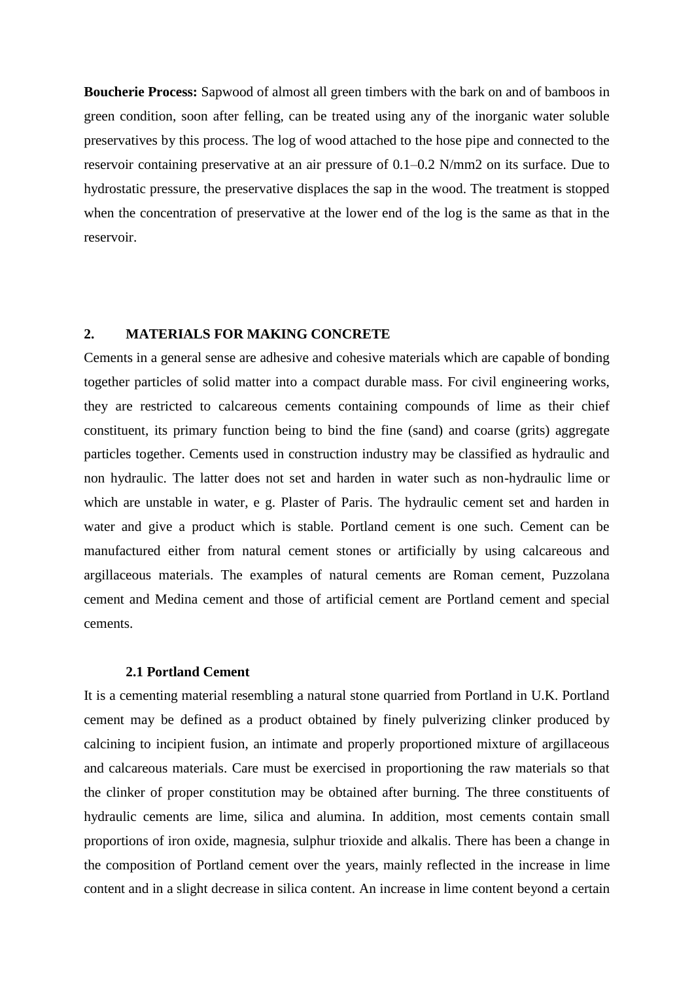**Boucherie Process:** Sapwood of almost all green timbers with the bark on and of bamboos in green condition, soon after felling, can be treated using any of the inorganic water soluble preservatives by this process. The log of wood attached to the hose pipe and connected to the reservoir containing preservative at an air pressure of 0.1–0.2 N/mm2 on its surface. Due to hydrostatic pressure, the preservative displaces the sap in the wood. The treatment is stopped when the concentration of preservative at the lower end of the log is the same as that in the reservoir.

# **2. MATERIALS FOR MAKING CONCRETE**

Cements in a general sense are adhesive and cohesive materials which are capable of bonding together particles of solid matter into a compact durable mass. For civil engineering works, they are restricted to calcareous cements containing compounds of lime as their chief constituent, its primary function being to bind the fine (sand) and coarse (grits) aggregate particles together. Cements used in construction industry may be classified as hydraulic and non hydraulic. The latter does not set and harden in water such as non-hydraulic lime or which are unstable in water, e g. Plaster of Paris. The hydraulic cement set and harden in water and give a product which is stable. Portland cement is one such. Cement can be manufactured either from natural cement stones or artificially by using calcareous and argillaceous materials. The examples of natural cements are Roman cement, Puzzolana cement and Medina cement and those of artificial cement are Portland cement and special cements.

### **2.1 Portland Cement**

It is a cementing material resembling a natural stone quarried from Portland in U.K. Portland cement may be defined as a product obtained by finely pulverizing clinker produced by calcining to incipient fusion, an intimate and properly proportioned mixture of argillaceous and calcareous materials. Care must be exercised in proportioning the raw materials so that the clinker of proper constitution may be obtained after burning. The three constituents of hydraulic cements are lime, silica and alumina. In addition, most cements contain small proportions of iron oxide, magnesia, sulphur trioxide and alkalis. There has been a change in the composition of Portland cement over the years, mainly reflected in the increase in lime content and in a slight decrease in silica content. An increase in lime content beyond a certain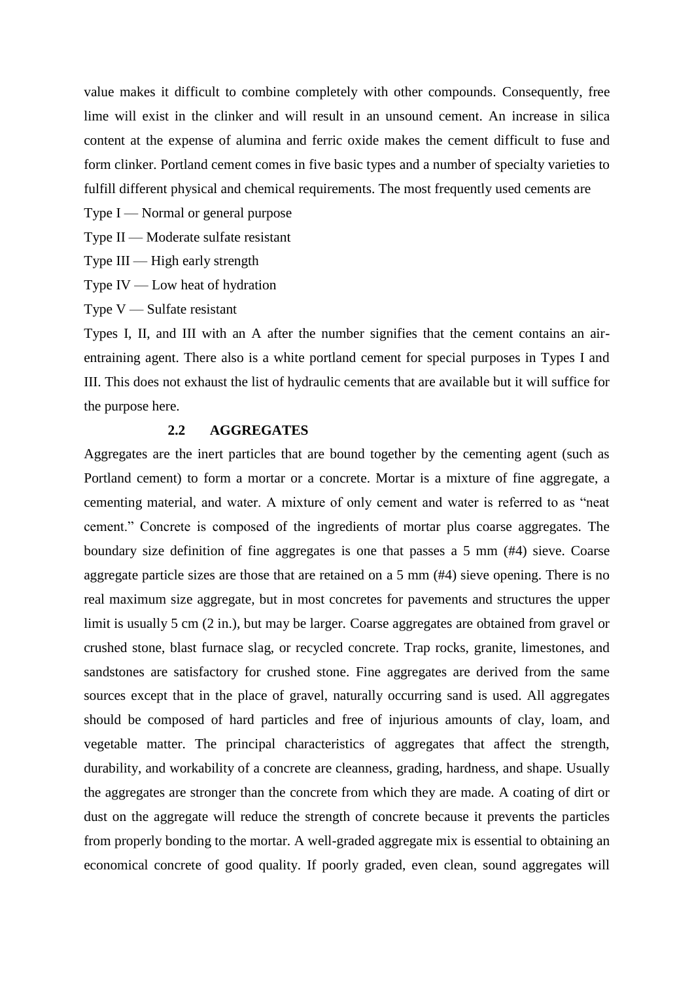value makes it difficult to combine completely with other compounds. Consequently, free lime will exist in the clinker and will result in an unsound cement. An increase in silica content at the expense of alumina and ferric oxide makes the cement difficult to fuse and form clinker. Portland cement comes in five basic types and a number of specialty varieties to fulfill different physical and chemical requirements. The most frequently used cements are

Type I — Normal or general purpose

Type II — Moderate sulfate resistant

Type III — High early strength

Type IV — Low heat of hydration

Type  $V$  — Sulfate resistant

Types I, II, and III with an A after the number signifies that the cement contains an airentraining agent. There also is a white portland cement for special purposes in Types I and III. This does not exhaust the list of hydraulic cements that are available but it will suffice for the purpose here.

# **2.2 AGGREGATES**

Aggregates are the inert particles that are bound together by the cementing agent (such as Portland cement) to form a mortar or a concrete. Mortar is a mixture of fine aggregate, a cementing material, and water. A mixture of only cement and water is referred to as "neat cement." Concrete is composed of the ingredients of mortar plus coarse aggregates. The boundary size definition of fine aggregates is one that passes a 5 mm (#4) sieve. Coarse aggregate particle sizes are those that are retained on a 5 mm (#4) sieve opening. There is no real maximum size aggregate, but in most concretes for pavements and structures the upper limit is usually 5 cm (2 in.), but may be larger. Coarse aggregates are obtained from gravel or crushed stone, blast furnace slag, or recycled concrete. Trap rocks, granite, limestones, and sandstones are satisfactory for crushed stone. Fine aggregates are derived from the same sources except that in the place of gravel, naturally occurring sand is used. All aggregates should be composed of hard particles and free of injurious amounts of clay, loam, and vegetable matter. The principal characteristics of aggregates that affect the strength, durability, and workability of a concrete are cleanness, grading, hardness, and shape. Usually the aggregates are stronger than the concrete from which they are made. A coating of dirt or dust on the aggregate will reduce the strength of concrete because it prevents the particles from properly bonding to the mortar. A well-graded aggregate mix is essential to obtaining an economical concrete of good quality. If poorly graded, even clean, sound aggregates will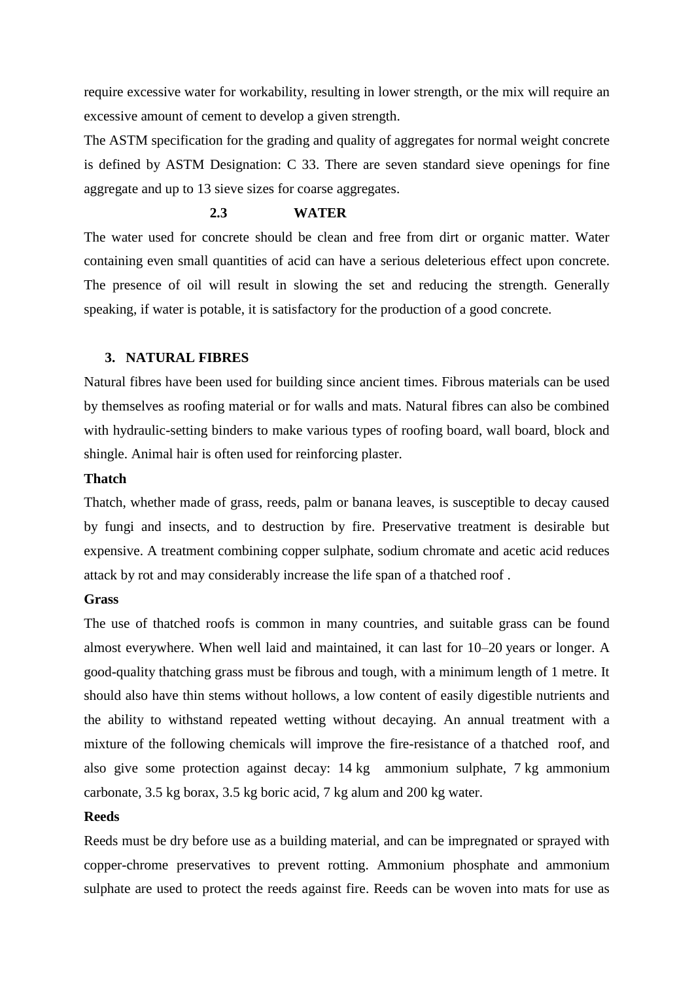require excessive water for workability, resulting in lower strength, or the mix will require an excessive amount of cement to develop a given strength.

The ASTM specification for the grading and quality of aggregates for normal weight concrete is defined by ASTM Designation: C 33. There are seven standard sieve openings for fine aggregate and up to 13 sieve sizes for coarse aggregates.

#### **2.3 WATER**

The water used for concrete should be clean and free from dirt or organic matter. Water containing even small quantities of acid can have a serious deleterious effect upon concrete. The presence of oil will result in slowing the set and reducing the strength. Generally speaking, if water is potable, it is satisfactory for the production of a good concrete.

#### **3. NATURAL FIBRES**

Natural fibres have been used for building since ancient times. Fibrous materials can be used by themselves as roofing material or for walls and mats. Natural fibres can also be combined with hydraulic-setting binders to make various types of roofing board, wall board, block and shingle. Animal hair is often used for reinforcing plaster.

### **Thatch**

Thatch, whether made of grass, reeds, palm or banana leaves, is susceptible to decay caused by fungi and insects, and to destruction by fire. Preservative treatment is desirable but expensive. A treatment combining copper sulphate, sodium chromate and acetic acid reduces attack by rot and may considerably increase the life span of a thatched roof .

### **Grass**

The use of thatched roofs is common in many countries, and suitable grass can be found almost everywhere. When well laid and maintained, it can last for 10–20 years or longer. A good-quality thatching grass must be fibrous and tough, with a minimum length of 1 metre. It should also have thin stems without hollows, a low content of easily digestible nutrients and the ability to withstand repeated wetting without decaying. An annual treatment with a mixture of the following chemicals will improve the fire-resistance of a thatched roof, and also give some protection against decay: 14 kg ammonium sulphate, 7 kg ammonium carbonate, 3.5 kg borax, 3.5 kg boric acid, 7 kg alum and 200 kg water.

#### **Reeds**

Reeds must be dry before use as a building material, and can be impregnated or sprayed with copper-chrome preservatives to prevent rotting. Ammonium phosphate and ammonium sulphate are used to protect the reeds against fire. Reeds can be woven into mats for use as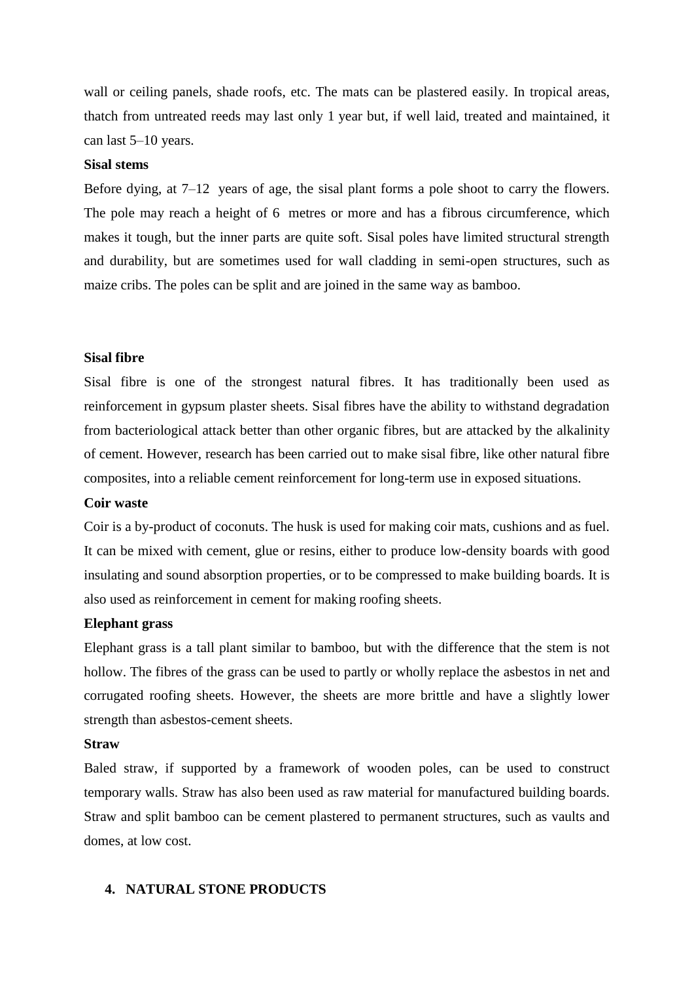wall or ceiling panels, shade roofs, etc. The mats can be plastered easily. In tropical areas, thatch from untreated reeds may last only 1 year but, if well laid, treated and maintained, it can last 5–10 years.

### **Sisal stems**

Before dying, at  $7-12$  years of age, the sisal plant forms a pole shoot to carry the flowers. The pole may reach a height of 6 metres or more and has a fibrous circumference, which makes it tough, but the inner parts are quite soft. Sisal poles have limited structural strength and durability, but are sometimes used for wall cladding in semi-open structures, such as maize cribs. The poles can be split and are joined in the same way as bamboo.

#### **Sisal fibre**

Sisal fibre is one of the strongest natural fibres. It has traditionally been used as reinforcement in gypsum plaster sheets. Sisal fibres have the ability to withstand degradation from bacteriological attack better than other organic fibres, but are attacked by the alkalinity of cement. However, research has been carried out to make sisal fibre, like other natural fibre composites, into a reliable cement reinforcement for long-term use in exposed situations.

#### **Coir waste**

Coir is a by-product of coconuts. The husk is used for making coir mats, cushions and as fuel. It can be mixed with cement, glue or resins, either to produce low-density boards with good insulating and sound absorption properties, or to be compressed to make building boards. It is also used as reinforcement in cement for making roofing sheets.

### **Elephant grass**

Elephant grass is a tall plant similar to bamboo, but with the difference that the stem is not hollow. The fibres of the grass can be used to partly or wholly replace the asbestos in net and corrugated roofing sheets. However, the sheets are more brittle and have a slightly lower strength than asbestos-cement sheets.

#### **Straw**

Baled straw, if supported by a framework of wooden poles, can be used to construct temporary walls. Straw has also been used as raw material for manufactured building boards. Straw and split bamboo can be cement plastered to permanent structures, such as vaults and domes, at low cost.

### **4. NATURAL STONE PRODUCTS**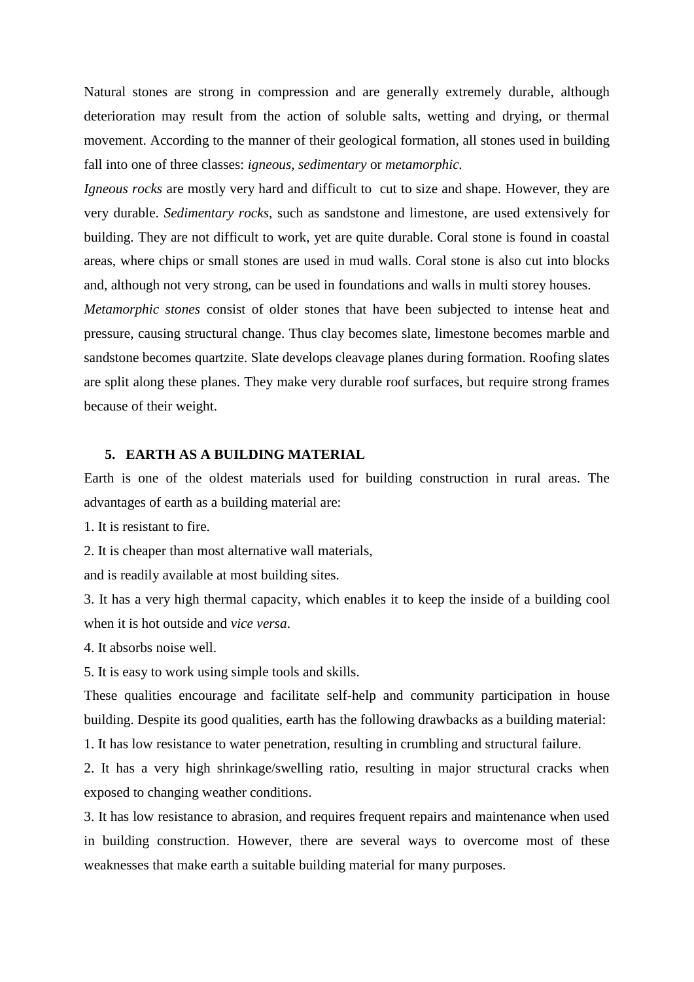Natural stones are strong in compression and are generally extremely durable, although deterioration may result from the action of soluble salts, wetting and drying, or thermal movement. According to the manner of their geological formation, all stones used in building fall into one of three classes: *igneous, sedimentary* or *metamorphic.*

*Igneous rocks* are mostly very hard and difficult to cut to size and shape. However, they are very durable. *Sedimentary rocks*, such as sandstone and limestone, are used extensively for building. They are not difficult to work, yet are quite durable. Coral stone is found in coastal areas, where chips or small stones are used in mud walls. Coral stone is also cut into blocks and, although not very strong, can be used in foundations and walls in multi storey houses.

*Metamorphic stones* consist of older stones that have been subjected to intense heat and pressure, causing structural change. Thus clay becomes slate, limestone becomes marble and sandstone becomes quartzite. Slate develops cleavage planes during formation. Roofing slates are split along these planes. They make very durable roof surfaces, but require strong frames because of their weight.

### **5. EARTH AS A BUILDING MATERIAL**

Earth is one of the oldest materials used for building construction in rural areas. The advantages of earth as a building material are:

1. It is resistant to fire.

2. It is cheaper than most alternative wall materials,

and is readily available at most building sites.

3. It has a very high thermal capacity, which enables it to keep the inside of a building cool when it is hot outside and *vice versa*.

4. It absorbs noise well.

5. It is easy to work using simple tools and skills.

These qualities encourage and facilitate self-help and community participation in house building. Despite its good qualities, earth has the following drawbacks as a building material:

1. It has low resistance to water penetration, resulting in crumbling and structural failure.

2. It has a very high shrinkage/swelling ratio, resulting in major structural cracks when exposed to changing weather conditions.

3. It has low resistance to abrasion, and requires frequent repairs and maintenance when used in building construction. However, there are several ways to overcome most of these weaknesses that make earth a suitable building material for many purposes.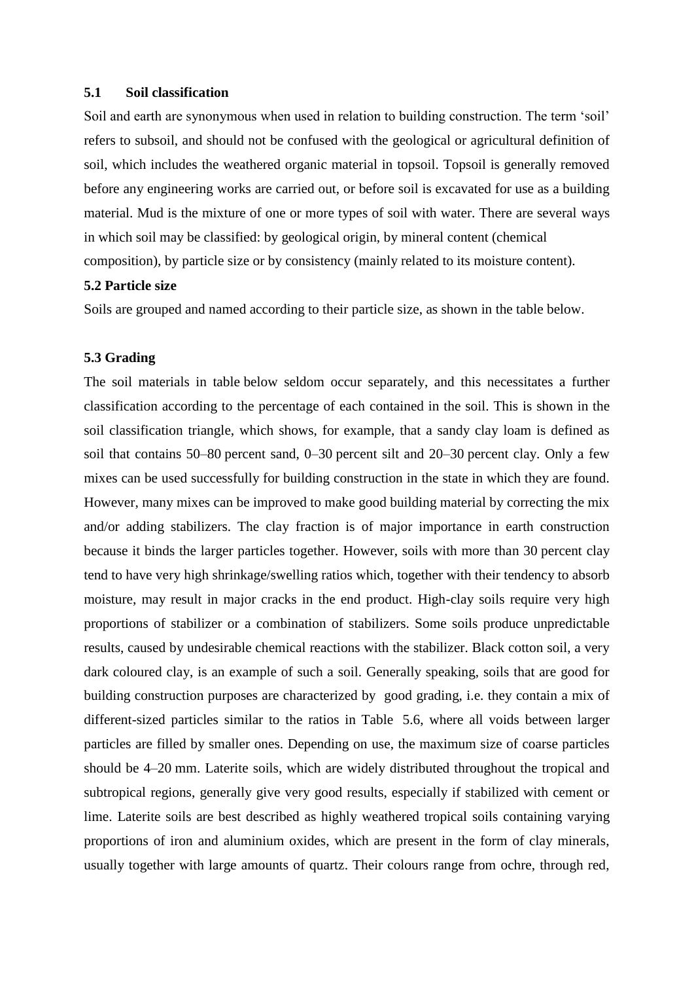#### **5.1 Soil classification**

Soil and earth are synonymous when used in relation to building construction. The term 'soil' refers to subsoil, and should not be confused with the geological or agricultural definition of soil, which includes the weathered organic material in topsoil. Topsoil is generally removed before any engineering works are carried out, or before soil is excavated for use as a building material. Mud is the mixture of one or more types of soil with water. There are several ways in which soil may be classified: by geological origin, by mineral content (chemical composition), by particle size or by consistency (mainly related to its moisture content).

### **5.2 Particle size**

Soils are grouped and named according to their particle size, as shown in the table below.

### **5.3 Grading**

The soil materials in table below seldom occur separately, and this necessitates a further classification according to the percentage of each contained in the soil. This is shown in the soil classification triangle, which shows, for example, that a sandy clay loam is defined as soil that contains 50–80 percent sand, 0–30 percent silt and 20–30 percent clay. Only a few mixes can be used successfully for building construction in the state in which they are found. However, many mixes can be improved to make good building material by correcting the mix and/or adding stabilizers. The clay fraction is of major importance in earth construction because it binds the larger particles together. However, soils with more than 30 percent clay tend to have very high shrinkage/swelling ratios which, together with their tendency to absorb moisture, may result in major cracks in the end product. High-clay soils require very high proportions of stabilizer or a combination of stabilizers. Some soils produce unpredictable results, caused by undesirable chemical reactions with the stabilizer. Black cotton soil, a very dark coloured clay, is an example of such a soil. Generally speaking, soils that are good for building construction purposes are characterized by good grading, i.e. they contain a mix of different-sized particles similar to the ratios in Table 5.6, where all voids between larger particles are filled by smaller ones. Depending on use, the maximum size of coarse particles should be 4–20 mm. Laterite soils, which are widely distributed throughout the tropical and subtropical regions, generally give very good results, especially if stabilized with cement or lime. Laterite soils are best described as highly weathered tropical soils containing varying proportions of iron and aluminium oxides, which are present in the form of clay minerals, usually together with large amounts of quartz. Their colours range from ochre, through red,